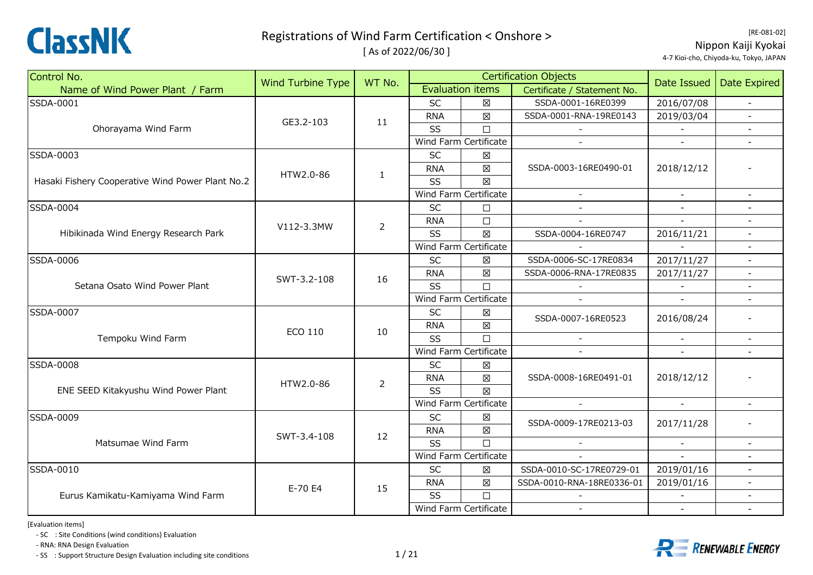

[ As of 2022/06/30 ]

| Control No.                                      |                   | WT No.                                     |            |                         | <b>Certification Objects</b> | Date Issued              | <b>Date Expired</b> |  |
|--------------------------------------------------|-------------------|--------------------------------------------|------------|-------------------------|------------------------------|--------------------------|---------------------|--|
| Name of Wind Power Plant / Farm                  | Wind Turbine Type |                                            |            | <b>Evaluation items</b> | Certificate / Statement No.  |                          |                     |  |
| SSDA-0001                                        |                   |                                            | <b>SC</b>  | $\boxtimes$             | SSDA-0001-16RE0399           | 2016/07/08               |                     |  |
|                                                  | GE3.2-103         | 11                                         | <b>RNA</b> | $\boxtimes$             | SSDA-0001-RNA-19RE0143       | 2019/03/04               |                     |  |
| Ohorayama Wind Farm                              |                   |                                            | SS         | $\Box$                  |                              |                          |                     |  |
|                                                  |                   | $\mathbf{1}$<br>$\overline{2}$<br>16<br>10 |            | Wind Farm Certificate   |                              |                          |                     |  |
| SSDA-0003                                        |                   |                                            | SC         | $\boxtimes$             |                              |                          |                     |  |
|                                                  | HTW2.0-86         |                                            | <b>RNA</b> | $\boxtimes$             | SSDA-0003-16RE0490-01        | 2018/12/12               |                     |  |
| Hasaki Fishery Cooperative Wind Power Plant No.2 |                   |                                            | SS         | $\boxtimes$             |                              |                          |                     |  |
|                                                  |                   |                                            |            | Wind Farm Certificate   | $\overline{\phantom{a}}$     |                          |                     |  |
| SSDA-0004                                        |                   |                                            | <b>SC</b>  | $\Box$                  |                              |                          |                     |  |
|                                                  | V112-3.3MW        |                                            | <b>RNA</b> | $\Box$                  |                              |                          |                     |  |
| Hibikinada Wind Energy Research Park             |                   |                                            | <b>SS</b>  | $\boxtimes$             | SSDA-0004-16RE0747           | 2016/11/21               |                     |  |
|                                                  |                   |                                            |            | Wind Farm Certificate   |                              |                          |                     |  |
| SSDA-0006                                        |                   |                                            | SC         | $\boxtimes$             | SSDA-0006-SC-17RE0834        | 2017/11/27               |                     |  |
|                                                  | SWT-3.2-108       |                                            | <b>RNA</b> | 区                       | SSDA-0006-RNA-17RE0835       | 2017/11/27               | $\blacksquare$      |  |
| Setana Osato Wind Power Plant                    |                   |                                            | <b>SS</b>  | $\Box$                  |                              |                          |                     |  |
|                                                  |                   |                                            |            | Wind Farm Certificate   |                              |                          |                     |  |
| <b>SSDA-0007</b>                                 |                   |                                            |            | <b>SC</b>               | ⊠                            | SSDA-0007-16RE0523       | 2016/08/24          |  |
|                                                  | <b>ECO 110</b>    |                                            | <b>RNA</b> | $\boxtimes$             |                              |                          |                     |  |
| Tempoku Wind Farm                                |                   |                                            | SS         | $\Box$                  |                              |                          |                     |  |
|                                                  |                   |                                            |            | Wind Farm Certificate   | $\sim$                       | $\overline{\phantom{a}}$ |                     |  |
| <b>SSDA-0008</b>                                 |                   |                                            | SC         | $\boxtimes$             |                              |                          |                     |  |
|                                                  | HTW2.0-86         | 2                                          | <b>RNA</b> | $\boxtimes$             | SSDA-0008-16RE0491-01        | 2018/12/12               |                     |  |
| ENE SEED Kitakyushu Wind Power Plant             |                   |                                            | SS         | $\boxtimes$             |                              |                          |                     |  |
|                                                  |                   |                                            |            | Wind Farm Certificate   | $\sim$                       | $\blacksquare$           |                     |  |
| SSDA-0009                                        |                   |                                            | <b>SC</b>  | $\boxtimes$             | SSDA-0009-17RE0213-03        | 2017/11/28               |                     |  |
|                                                  | SWT-3.4-108       | 12                                         | <b>RNA</b> | $\boxtimes$             |                              |                          |                     |  |
| Matsumae Wind Farm                               |                   |                                            | SS         | $\Box$                  |                              |                          |                     |  |
|                                                  |                   |                                            |            | Wind Farm Certificate   |                              |                          |                     |  |
| SSDA-0010                                        |                   |                                            | <b>SC</b>  | 区                       | SSDA-0010-SC-17RE0729-01     | 2019/01/16               |                     |  |
|                                                  | E-70 E4           | 15                                         | <b>RNA</b> | $\boxtimes$             | SSDA-0010-RNA-18RE0336-01    | 2019/01/16               | $-$                 |  |
| Eurus Kamikatu-Kamiyama Wind Farm                |                   |                                            | SS         | $\Box$                  |                              |                          |                     |  |
|                                                  |                   |                                            |            | Wind Farm Certificate   |                              |                          |                     |  |

[Evaluation items]

‐ SC : Site Conditions (wind conditions) Evaluation

‐ RNA: RNA Design Evaluation

- SS : Support Structure Design Evaluation including site conditions  $1/21$ 



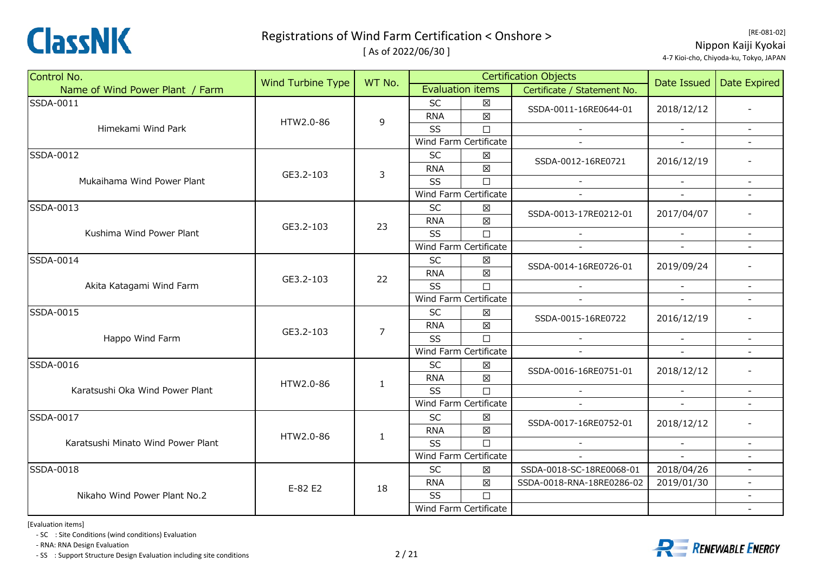

[ As of 2022/06/30 ]

| Control No.                        |                          | WT No.                          |            |                         | <b>Certification Objects</b>                                                                                                                                                                                                                                                                                                                                                                                                                                                                                                                                                                                 |        | <b>Date Expired</b>      |
|------------------------------------|--------------------------|---------------------------------|------------|-------------------------|--------------------------------------------------------------------------------------------------------------------------------------------------------------------------------------------------------------------------------------------------------------------------------------------------------------------------------------------------------------------------------------------------------------------------------------------------------------------------------------------------------------------------------------------------------------------------------------------------------------|--------|--------------------------|
| Name of Wind Power Plant / Farm    | <b>Wind Turbine Type</b> |                                 |            | <b>Evaluation items</b> | Certificate / Statement No.                                                                                                                                                                                                                                                                                                                                                                                                                                                                                                                                                                                  |        |                          |
| SSDA-0011                          |                          |                                 | <b>SC</b>  | $\boxtimes$             |                                                                                                                                                                                                                                                                                                                                                                                                                                                                                                                                                                                                              |        |                          |
|                                    | HTW2.0-86                | $\mathsf 9$                     | <b>RNA</b> | $\boxtimes$             |                                                                                                                                                                                                                                                                                                                                                                                                                                                                                                                                                                                                              |        |                          |
| Himekami Wind Park                 |                          |                                 | SS         | $\Box$                  |                                                                                                                                                                                                                                                                                                                                                                                                                                                                                                                                                                                                              |        | $\equiv$                 |
|                                    |                          | 3<br>23<br>22<br>$\overline{7}$ |            | Wind Farm Certificate   | $\mathbf{r}$                                                                                                                                                                                                                                                                                                                                                                                                                                                                                                                                                                                                 | $ \,$  |                          |
| SSDA-0012                          |                          |                                 | SC         | $\boxtimes$             |                                                                                                                                                                                                                                                                                                                                                                                                                                                                                                                                                                                                              |        |                          |
|                                    | GE3.2-103                |                                 | <b>RNA</b> | $\boxtimes$             |                                                                                                                                                                                                                                                                                                                                                                                                                                                                                                                                                                                                              |        |                          |
| Mukaihama Wind Power Plant         |                          |                                 | SS         |                         |                                                                                                                                                                                                                                                                                                                                                                                                                                                                                                                                                                                                              |        | $\blacksquare$           |
|                                    |                          |                                 |            | Wind Farm Certificate   |                                                                                                                                                                                                                                                                                                                                                                                                                                                                                                                                                                                                              |        |                          |
| SSDA-0013                          |                          |                                 | <b>SC</b>  | $\boxtimes$             |                                                                                                                                                                                                                                                                                                                                                                                                                                                                                                                                                                                                              |        |                          |
|                                    | GE3.2-103                |                                 | <b>RNA</b> |                         |                                                                                                                                                                                                                                                                                                                                                                                                                                                                                                                                                                                                              |        |                          |
| Kushima Wind Power Plant           |                          |                                 | <b>SS</b>  | $\Box$                  | $\sim$                                                                                                                                                                                                                                                                                                                                                                                                                                                                                                                                                                                                       |        |                          |
|                                    |                          |                                 |            | Wind Farm Certificate   |                                                                                                                                                                                                                                                                                                                                                                                                                                                                                                                                                                                                              |        |                          |
| SSDA-0014                          |                          |                                 | <b>SC</b>  | $\boxtimes$             |                                                                                                                                                                                                                                                                                                                                                                                                                                                                                                                                                                                                              |        |                          |
|                                    | GE3.2-103                |                                 | <b>RNA</b> |                         |                                                                                                                                                                                                                                                                                                                                                                                                                                                                                                                                                                                                              |        |                          |
| Akita Katagami Wind Farm           |                          |                                 | SS         |                         | $\sim$                                                                                                                                                                                                                                                                                                                                                                                                                                                                                                                                                                                                       | $\sim$ | $\overline{\phantom{a}}$ |
|                                    |                          |                                 |            | Wind Farm Certificate   |                                                                                                                                                                                                                                                                                                                                                                                                                                                                                                                                                                                                              |        |                          |
| SSDA-0015                          |                          |                                 | <b>SC</b>  | $\boxtimes$             |                                                                                                                                                                                                                                                                                                                                                                                                                                                                                                                                                                                                              |        |                          |
|                                    | GE3.2-103                |                                 | <b>RNA</b> |                         |                                                                                                                                                                                                                                                                                                                                                                                                                                                                                                                                                                                                              |        |                          |
| Happo Wind Farm                    |                          |                                 | SS         |                         |                                                                                                                                                                                                                                                                                                                                                                                                                                                                                                                                                                                                              |        |                          |
|                                    |                          |                                 |            | Wind Farm Certificate   | Date Issued<br>SSDA-0011-16RE0644-01<br>2018/12/12<br>2016/12/19<br>SSDA-0012-16RE0721<br>$\Box$<br>2017/04/07<br>SSDA-0013-17RE0212-01<br>$\boxtimes$<br>SSDA-0014-16RE0726-01<br>2019/09/24<br>$\boxtimes$<br>$\Box$<br>2016/12/19<br>SSDA-0015-16RE0722<br>$\boxtimes$<br>$\Box$<br>$\sim$<br>$\sim$<br>X<br>2018/12/12<br>SSDA-0016-16RE0751-01<br>$\boxtimes$<br>$\Box$<br>X<br>SSDA-0017-16RE0752-01<br>2018/12/12<br>$\boxtimes$<br>$\Box$<br>$\equiv$<br>$\overline{a}$<br>2018/04/26<br>$\boxtimes$<br>SSDA-0018-SC-18RE0068-01<br>$\boxtimes$<br>SSDA-0018-RNA-18RE0286-02<br>2019/01/30<br>$\Box$ |        |                          |
| SSDA-0016                          |                          |                                 | <b>SC</b>  |                         |                                                                                                                                                                                                                                                                                                                                                                                                                                                                                                                                                                                                              |        | $\blacksquare$           |
|                                    | HTW2.0-86                | $\mathbf{1}$                    | <b>RNA</b> |                         |                                                                                                                                                                                                                                                                                                                                                                                                                                                                                                                                                                                                              |        |                          |
| Karatsushi Oka Wind Power Plant    |                          |                                 | SS         |                         |                                                                                                                                                                                                                                                                                                                                                                                                                                                                                                                                                                                                              |        |                          |
|                                    |                          |                                 |            | Wind Farm Certificate   |                                                                                                                                                                                                                                                                                                                                                                                                                                                                                                                                                                                                              |        |                          |
| SSDA-0017                          |                          |                                 | SC         |                         |                                                                                                                                                                                                                                                                                                                                                                                                                                                                                                                                                                                                              |        |                          |
|                                    | HTW2.0-86                | $\mathbf{1}$                    | <b>RNA</b> |                         |                                                                                                                                                                                                                                                                                                                                                                                                                                                                                                                                                                                                              |        |                          |
| Karatsushi Minato Wind Power Plant |                          |                                 | SS         |                         |                                                                                                                                                                                                                                                                                                                                                                                                                                                                                                                                                                                                              |        | $\sim$                   |
|                                    |                          |                                 |            | Wind Farm Certificate   |                                                                                                                                                                                                                                                                                                                                                                                                                                                                                                                                                                                                              |        |                          |
| SSDA-0018                          |                          |                                 | <b>SC</b>  |                         |                                                                                                                                                                                                                                                                                                                                                                                                                                                                                                                                                                                                              |        |                          |
|                                    | E-82 E2                  | 18                              | <b>RNA</b> |                         |                                                                                                                                                                                                                                                                                                                                                                                                                                                                                                                                                                                                              |        |                          |
| Nikaho Wind Power Plant No.2       |                          |                                 | SS         |                         |                                                                                                                                                                                                                                                                                                                                                                                                                                                                                                                                                                                                              |        |                          |
|                                    |                          |                                 |            | Wind Farm Certificate   |                                                                                                                                                                                                                                                                                                                                                                                                                                                                                                                                                                                                              |        |                          |

[Evaluation items]

‐ SC : Site Conditions (wind conditions) Evaluation

‐ RNA: RNA Design Evaluation

‐ SS : Support Structure Design Evaluation including site conditions 2 / 21

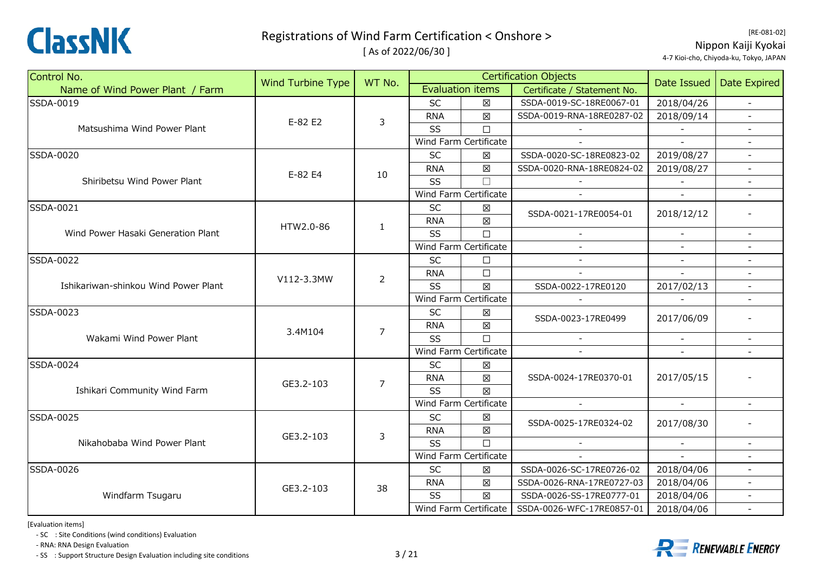

[ As of 2022/06/30 ]

| Control No.                          | <b>Wind Turbine Type</b> | WT No.         |            |                         | <b>Certification Objects</b> | Date Issued                 | <b>Date Expired</b>      |
|--------------------------------------|--------------------------|----------------|------------|-------------------------|------------------------------|-----------------------------|--------------------------|
| Name of Wind Power Plant / Farm      |                          |                |            | <b>Evaluation items</b> | Certificate / Statement No.  |                             |                          |
| SSDA-0019                            |                          |                | <b>SC</b>  | $\boxtimes$             | SSDA-0019-SC-18RE0067-01     | 2018/04/26                  |                          |
|                                      | E-82 E2                  | 3              | <b>RNA</b> | $\boxtimes$             | SSDA-0019-RNA-18RE0287-02    | 2018/09/14                  |                          |
| Matsushima Wind Power Plant          |                          |                | SS         | $\Box$                  |                              |                             |                          |
|                                      |                          |                |            | Wind Farm Certificate   |                              | $\mathcal{L}_{\mathcal{A}}$ |                          |
| <b>SSDA-0020</b>                     |                          |                | <b>SC</b>  | $\boxtimes$             | SSDA-0020-SC-18RE0823-02     | 2019/08/27                  | $\sim$                   |
|                                      | E-82 E4                  | 10             | <b>RNA</b> | $\boxtimes$             | SSDA-0020-RNA-18RE0824-02    | 2019/08/27                  | $\blacksquare$           |
| Shiribetsu Wind Power Plant          |                          |                | SS         | $\Box$                  |                              |                             |                          |
|                                      |                          |                |            | Wind Farm Certificate   |                              |                             |                          |
| SSDA-0021                            |                          |                | <b>SC</b>  | $\boxtimes$             | SSDA-0021-17RE0054-01        | 2018/12/12                  |                          |
|                                      | HTW2.0-86                | $\mathbf{1}$   | <b>RNA</b> | $\boxtimes$             |                              |                             |                          |
| Wind Power Hasaki Generation Plant   |                          |                | SS         | $\Box$                  |                              | $\sim$                      | $\overline{a}$           |
|                                      |                          |                |            | Wind Farm Certificate   |                              |                             |                          |
| SSDA-0022                            |                          |                | <b>SC</b>  | $\Box$                  |                              |                             |                          |
|                                      | V112-3.3MW               | $\overline{2}$ | <b>RNA</b> | $\Box$                  |                              |                             |                          |
| Ishikariwan-shinkou Wind Power Plant |                          |                | SS         | $\boxtimes$             | SSDA-0022-17RE0120           | 2017/02/13                  |                          |
|                                      |                          |                |            | Wind Farm Certificate   |                              | $\sim$                      | $\blacksquare$           |
| SSDA-0023                            |                          |                | <b>SC</b>  | $\boxtimes$             | SSDA-0023-17RE0499           | 2017/06/09                  |                          |
|                                      | 3.4M104                  | $\overline{7}$ | <b>RNA</b> | $\boxtimes$             |                              |                             |                          |
| Wakami Wind Power Plant              |                          |                | SS         | $\Box$                  |                              | $\blacksquare$              | $\blacksquare$           |
|                                      |                          |                |            | Wind Farm Certificate   |                              |                             |                          |
| SSDA-0024                            |                          |                | <b>SC</b>  | $\boxtimes$             |                              |                             |                          |
|                                      | GE3.2-103                | $\overline{7}$ | <b>RNA</b> | $\boxtimes$             | SSDA-0024-17RE0370-01        | 2017/05/15                  |                          |
| Ishikari Community Wind Farm         |                          |                | SS         | 区                       |                              |                             |                          |
|                                      |                          |                |            | Wind Farm Certificate   |                              | $\omega$                    |                          |
| SSDA-0025                            |                          |                | SC         | $\boxtimes$             | SSDA-0025-17RE0324-02        | 2017/08/30                  |                          |
|                                      | GE3.2-103                | 3              | <b>RNA</b> | $\boxtimes$             |                              |                             |                          |
| Nikahobaba Wind Power Plant          |                          |                | SS         | $\Box$                  | $\sim$                       | $\blacksquare$              |                          |
|                                      |                          |                |            | Wind Farm Certificate   |                              |                             |                          |
| SSDA-0026                            |                          |                | <b>SC</b>  | $\boxtimes$             | SSDA-0026-SC-17RE0726-02     | 2018/04/06                  |                          |
|                                      | GE3.2-103                | 38             | <b>RNA</b> | $\boxtimes$             | SSDA-0026-RNA-17RE0727-03    | 2018/04/06                  |                          |
| Windfarm Tsugaru                     |                          |                | SS         | $\boxtimes$             | SSDA-0026-SS-17RE0777-01     | 2018/04/06                  | $\overline{\phantom{a}}$ |
|                                      |                          |                |            | Wind Farm Certificate   | SSDA-0026-WFC-17RE0857-01    | 2018/04/06                  | $\blacksquare$           |

[Evaluation items]

‐ SC : Site Conditions (wind conditions) Evaluation

‐ RNA: RNA Design Evaluation

‐ SS : Support Structure Design Evaluation including site conditions 3 / 21



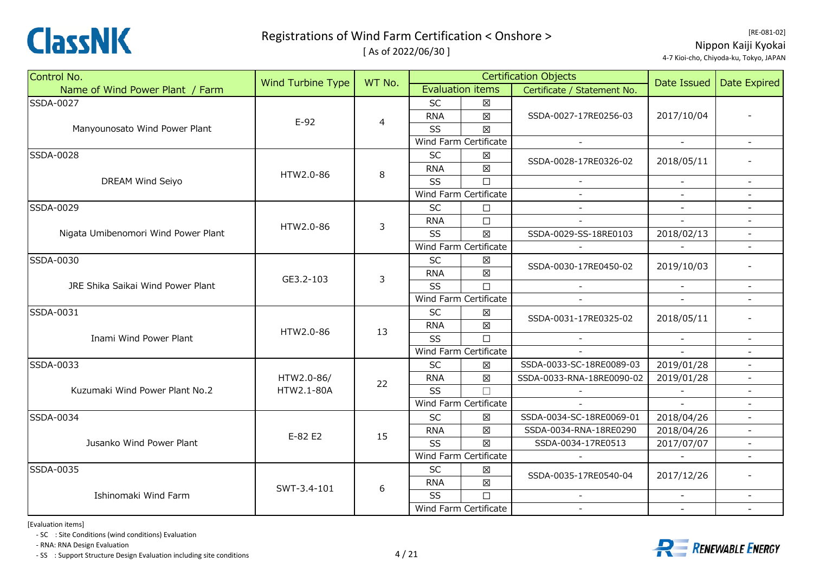

[ As of 2022/06/30 ]

| Control No.                         | <b>Wind Turbine Type</b> | WT No. |            |                                                                                                                                                                                                                                                                                                                                                                                                                                                                                                                                                                                   | <b>Certification Objects</b> | Date Issued | <b>Date Expired</b>      |
|-------------------------------------|--------------------------|--------|------------|-----------------------------------------------------------------------------------------------------------------------------------------------------------------------------------------------------------------------------------------------------------------------------------------------------------------------------------------------------------------------------------------------------------------------------------------------------------------------------------------------------------------------------------------------------------------------------------|------------------------------|-------------|--------------------------|
| Name of Wind Power Plant / Farm     |                          |        |            |                                                                                                                                                                                                                                                                                                                                                                                                                                                                                                                                                                                   | Certificate / Statement No.  |             |                          |
| SSDA-0027                           |                          |        | <b>SC</b>  | $\boxtimes$                                                                                                                                                                                                                                                                                                                                                                                                                                                                                                                                                                       |                              |             |                          |
|                                     | $E-92$                   | 4      | <b>RNA</b> | $\boxtimes$                                                                                                                                                                                                                                                                                                                                                                                                                                                                                                                                                                       | SSDA-0027-17RE0256-03        | 2017/10/04  |                          |
| Manyounosato Wind Power Plant       |                          |        | SS         | 区                                                                                                                                                                                                                                                                                                                                                                                                                                                                                                                                                                                 |                              |             |                          |
|                                     |                          |        |            |                                                                                                                                                                                                                                                                                                                                                                                                                                                                                                                                                                                   | $\sim$                       | $\sim$      | $\overline{\phantom{a}}$ |
| SSDA-0028                           |                          |        | SC         | $\boxtimes$                                                                                                                                                                                                                                                                                                                                                                                                                                                                                                                                                                       |                              | 2018/05/11  |                          |
|                                     | HTW2.0-86                | 8      | <b>RNA</b> | $\boxtimes$                                                                                                                                                                                                                                                                                                                                                                                                                                                                                                                                                                       |                              |             |                          |
| DREAM Wind Seiyo                    |                          |        | SS         | $\Box$                                                                                                                                                                                                                                                                                                                                                                                                                                                                                                                                                                            |                              |             | $\overline{\phantom{a}}$ |
|                                     |                          |        |            |                                                                                                                                                                                                                                                                                                                                                                                                                                                                                                                                                                                   |                              |             |                          |
| SSDA-0029                           |                          |        | <b>SC</b>  | $\Box$                                                                                                                                                                                                                                                                                                                                                                                                                                                                                                                                                                            | $\sim$                       | $\sim$      | $\overline{\phantom{a}}$ |
|                                     | HTW2.0-86                | 3      | <b>RNA</b> | $\Box$                                                                                                                                                                                                                                                                                                                                                                                                                                                                                                                                                                            |                              |             |                          |
| Nigata Umibenomori Wind Power Plant |                          |        | SS         | $\boxtimes$                                                                                                                                                                                                                                                                                                                                                                                                                                                                                                                                                                       | SSDA-0029-SS-18RE0103        | 2018/02/13  |                          |
|                                     |                          |        |            |                                                                                                                                                                                                                                                                                                                                                                                                                                                                                                                                                                                   |                              |             |                          |
| SSDA-0030                           |                          |        | SC         | $\boxtimes$                                                                                                                                                                                                                                                                                                                                                                                                                                                                                                                                                                       |                              | 2019/10/03  |                          |
|                                     | GE3.2-103                | 3      | <b>RNA</b> | $\boxtimes$                                                                                                                                                                                                                                                                                                                                                                                                                                                                                                                                                                       |                              |             |                          |
| JRE Shika Saikai Wind Power Plant   |                          |        | SS         | $\Box$                                                                                                                                                                                                                                                                                                                                                                                                                                                                                                                                                                            | $\sim$                       | $\sim$      | $\blacksquare$           |
|                                     |                          |        |            |                                                                                                                                                                                                                                                                                                                                                                                                                                                                                                                                                                                   |                              |             |                          |
| SSDA-0031                           |                          |        | SC         | X                                                                                                                                                                                                                                                                                                                                                                                                                                                                                                                                                                                 |                              | 2018/05/11  |                          |
|                                     | HTW2.0-86                | 13     | <b>RNA</b> | $\boxtimes$                                                                                                                                                                                                                                                                                                                                                                                                                                                                                                                                                                       |                              |             |                          |
| Inami Wind Power Plant              |                          |        | SS         | $\Box$                                                                                                                                                                                                                                                                                                                                                                                                                                                                                                                                                                            |                              |             | $\overline{\phantom{a}}$ |
|                                     |                          |        |            | <b>Evaluation items</b><br>Wind Farm Certificate<br>SSDA-0028-17RE0326-02<br>Wind Farm Certificate<br>Wind Farm Certificate<br>SSDA-0030-17RE0450-02<br>Wind Farm Certificate<br>SSDA-0031-17RE0325-02<br>Wind Farm Certificate<br>$\boxtimes$<br>SSDA-0033-SC-18RE0089-03<br>X<br>SSDA-0033-RNA-18RE0090-02<br>$\Box$<br>Wind Farm Certificate<br>SSDA-0034-SC-18RE0069-01<br>X<br>$\boxtimes$<br>SSDA-0034-RNA-18RE0290<br>$\boxtimes$<br>SSDA-0034-17RE0513<br>Wind Farm Certificate<br>$\boxtimes$<br>SSDA-0035-17RE0540-04<br>$\boxtimes$<br>$\Box$<br>Wind Farm Certificate |                              |             |                          |
| SSDA-0033                           |                          |        | SC         |                                                                                                                                                                                                                                                                                                                                                                                                                                                                                                                                                                                   |                              | 2019/01/28  | $\omega$                 |
|                                     | HTW2.0-86/               | 22     | <b>RNA</b> |                                                                                                                                                                                                                                                                                                                                                                                                                                                                                                                                                                                   |                              | 2019/01/28  |                          |
| Kuzumaki Wind Power Plant No.2      | HTW2.1-80A               |        | <b>SS</b>  |                                                                                                                                                                                                                                                                                                                                                                                                                                                                                                                                                                                   |                              |             | $\blacksquare$           |
|                                     |                          |        |            |                                                                                                                                                                                                                                                                                                                                                                                                                                                                                                                                                                                   |                              |             |                          |
| SSDA-0034                           |                          |        | <b>SC</b>  |                                                                                                                                                                                                                                                                                                                                                                                                                                                                                                                                                                                   |                              | 2018/04/26  | $\overline{\phantom{a}}$ |
|                                     | E-82 E2                  | 15     | <b>RNA</b> |                                                                                                                                                                                                                                                                                                                                                                                                                                                                                                                                                                                   |                              | 2018/04/26  | $\blacksquare$           |
| Jusanko Wind Power Plant            |                          |        | <b>SS</b>  |                                                                                                                                                                                                                                                                                                                                                                                                                                                                                                                                                                                   |                              | 2017/07/07  |                          |
|                                     |                          |        |            |                                                                                                                                                                                                                                                                                                                                                                                                                                                                                                                                                                                   |                              |             |                          |
| SSDA-0035                           |                          |        | SC         |                                                                                                                                                                                                                                                                                                                                                                                                                                                                                                                                                                                   |                              | 2017/12/26  |                          |
|                                     | SWT-3.4-101              | 6      | <b>RNA</b> |                                                                                                                                                                                                                                                                                                                                                                                                                                                                                                                                                                                   |                              |             |                          |
| Ishinomaki Wind Farm                |                          |        | SS         |                                                                                                                                                                                                                                                                                                                                                                                                                                                                                                                                                                                   |                              |             | $\blacksquare$           |
|                                     |                          |        |            |                                                                                                                                                                                                                                                                                                                                                                                                                                                                                                                                                                                   |                              |             |                          |

[Evaluation items]

‐ SC : Site Conditions (wind conditions) Evaluation

‐ RNA: RNA Design Evaluation

‐ SS : Support Structure Design Evaluation including site conditions 4 / 21

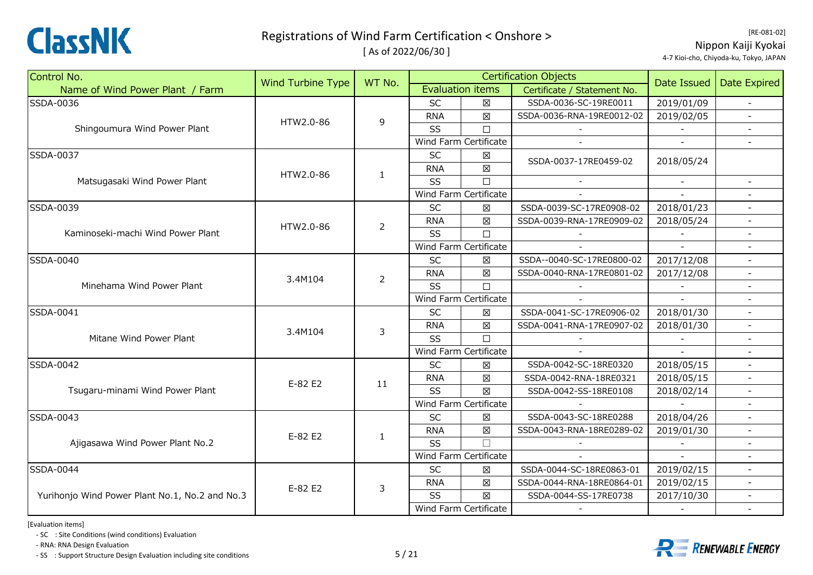

[ As of 2022/06/30 ]

| Control No.                                    | Wind Turbine Type |                                                                                 |            |                         | <b>Certification Objects</b> | Date Issued |                          |
|------------------------------------------------|-------------------|---------------------------------------------------------------------------------|------------|-------------------------|------------------------------|-------------|--------------------------|
| Name of Wind Power Plant / Farm                |                   |                                                                                 |            | <b>Evaluation items</b> | Certificate / Statement No.  |             | Date Expired             |
| SSDA-0036                                      |                   |                                                                                 | <b>SC</b>  | 区                       | SSDA-0036-SC-19RE0011        | 2019/01/09  |                          |
|                                                | HTW2.0-86         |                                                                                 | <b>RNA</b> | $\boxtimes$             | SSDA-0036-RNA-19RE0012-02    | 2019/02/05  |                          |
| Shingoumura Wind Power Plant                   |                   |                                                                                 | SS         | $\Box$                  |                              |             |                          |
|                                                |                   | WT No.<br>9<br>$\mathbf{1}$<br>$\overline{2}$<br>$\overline{2}$<br>3<br>11<br>1 |            | Wind Farm Certificate   | $\overline{\phantom{a}}$     | $\equiv$    |                          |
| SSDA-0037                                      |                   |                                                                                 | SC         | $\boxtimes$             | SSDA-0037-17RE0459-02        | 2018/05/24  |                          |
|                                                | HTW2.0-86         |                                                                                 | <b>RNA</b> | $\boxtimes$             |                              |             |                          |
| Matsugasaki Wind Power Plant                   |                   |                                                                                 | SS         | $\Box$                  |                              |             |                          |
|                                                |                   |                                                                                 |            | Wind Farm Certificate   |                              |             |                          |
| SSDA-0039                                      |                   |                                                                                 | <b>SC</b>  | X                       | SSDA-0039-SC-17RE0908-02     | 2018/01/23  |                          |
|                                                | HTW2.0-86         |                                                                                 | <b>RNA</b> | X                       | SSDA-0039-RNA-17RE0909-02    | 2018/05/24  |                          |
| Kaminoseki-machi Wind Power Plant              |                   |                                                                                 | SS         | $\Box$                  |                              |             |                          |
|                                                |                   |                                                                                 |            | Wind Farm Certificate   |                              |             |                          |
| SSDA-0040                                      |                   |                                                                                 | SC         | $\boxtimes$             | SSDA--0040-SC-17RE0800-02    | 2017/12/08  |                          |
|                                                | 3.4M104           |                                                                                 | <b>RNA</b> | 区                       | SSDA-0040-RNA-17RE0801-02    | 2017/12/08  |                          |
| Minehama Wind Power Plant                      |                   |                                                                                 | SS         | $\Box$                  |                              | $\sim$      | $\overline{\phantom{a}}$ |
|                                                |                   |                                                                                 |            | Wind Farm Certificate   |                              | $\sim$      |                          |
| SSDA-0041                                      |                   |                                                                                 | <b>SC</b>  | X                       | SSDA-0041-SC-17RE0906-02     | 2018/01/30  | $\blacksquare$           |
|                                                | 3.4M104           |                                                                                 | <b>RNA</b> | $\boxtimes$             | SSDA-0041-RNA-17RE0907-02    | 2018/01/30  | $\sim$                   |
| Mitane Wind Power Plant                        |                   |                                                                                 | SS         | $\Box$                  |                              |             |                          |
|                                                |                   |                                                                                 |            | Wind Farm Certificate   | $\overline{\phantom{a}}$     | $\sim$      |                          |
| SSDA-0042                                      |                   |                                                                                 | <b>SC</b>  | 区                       | SSDA-0042-SC-18RE0320        | 2018/05/15  | $\overline{a}$           |
|                                                | E-82 E2           |                                                                                 | <b>RNA</b> | 冈                       | SSDA-0042-RNA-18RE0321       | 2018/05/15  |                          |
| Tsugaru-minami Wind Power Plant                |                   |                                                                                 | SS         | $\boxtimes$             | SSDA-0042-SS-18RE0108        | 2018/02/14  | $\overline{\phantom{a}}$ |
|                                                |                   |                                                                                 |            | Wind Farm Certificate   |                              |             |                          |
| SSDA-0043                                      |                   |                                                                                 | SC         | 区                       | SSDA-0043-SC-18RE0288        | 2018/04/26  |                          |
|                                                | E-82 E2           |                                                                                 | <b>RNA</b> | $\boxtimes$             | SSDA-0043-RNA-18RE0289-02    | 2019/01/30  | $\blacksquare$           |
| Ajigasawa Wind Power Plant No.2                |                   |                                                                                 | <b>SS</b>  | $\Box$                  |                              |             |                          |
|                                                |                   |                                                                                 |            | Wind Farm Certificate   |                              |             |                          |
| SSDA-0044                                      |                   |                                                                                 | SC         | $\boxtimes$             | SSDA-0044-SC-18RE0863-01     | 2019/02/15  |                          |
|                                                | E-82 E2           | 3                                                                               | <b>RNA</b> | $\boxtimes$             | SSDA-0044-RNA-18RE0864-01    | 2019/02/15  |                          |
| Yurihonjo Wind Power Plant No.1, No.2 and No.3 |                   |                                                                                 | SS         | $\boxtimes$             | SSDA-0044-SS-17RE0738        | 2017/10/30  | $\sim$                   |
|                                                |                   |                                                                                 |            | Wind Farm Certificate   |                              |             | $\overline{\phantom{a}}$ |

[Evaluation items]

‐ SC : Site Conditions (wind conditions) Evaluation

‐ RNA: RNA Design Evaluation

‐ SS : Support Structure Design Evaluation including site conditions 5 / 21

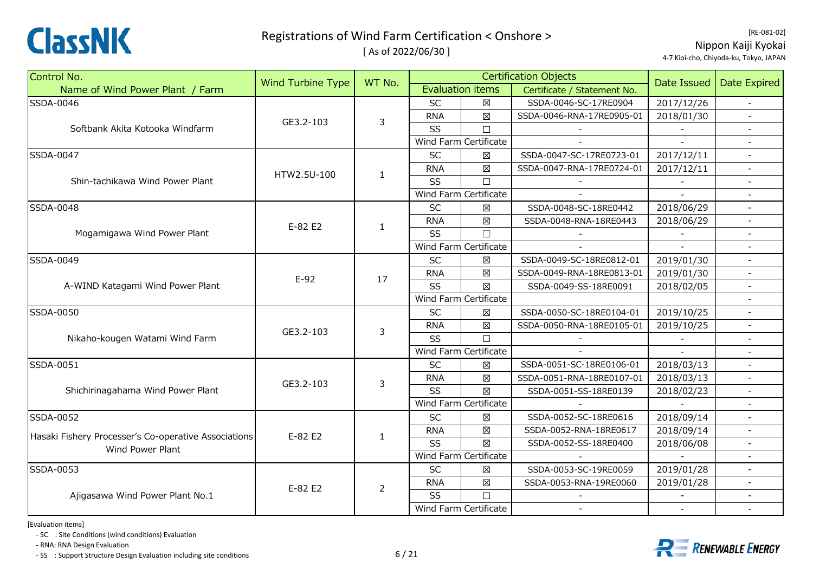

[ As of 2022/06/30 ]

[RE‐081‐02] Nippon Kaiji Kyokai 4‐7 Kioi‐cho, Chiyoda‐ku, Tokyo, JAPAN

| Control No.                                                              | <b>Wind Turbine Type</b> | WT No.         |            |                         | <b>Certification Objects</b> | Date Issued | Date Expired             |
|--------------------------------------------------------------------------|--------------------------|----------------|------------|-------------------------|------------------------------|-------------|--------------------------|
| Name of Wind Power Plant / Farm                                          |                          |                |            | <b>Evaluation items</b> | Certificate / Statement No.  |             |                          |
| SSDA-0046                                                                |                          |                | SC         | $\boxtimes$             | SSDA-0046-SC-17RE0904        | 2017/12/26  | $\sim$                   |
|                                                                          | GE3.2-103                | 3              | <b>RNA</b> | $\boxtimes$             | SSDA-0046-RNA-17RE0905-01    | 2018/01/30  |                          |
| Softbank Akita Kotooka Windfarm                                          |                          |                | SS         | $\Box$                  |                              |             |                          |
|                                                                          |                          |                |            | Wind Farm Certificate   |                              |             |                          |
| SSDA-0047                                                                |                          |                | <b>SC</b>  | $\boxtimes$             | SSDA-0047-SC-17RE0723-01     | 2017/12/11  | $\blacksquare$           |
|                                                                          | HTW2.5U-100              | 1              | <b>RNA</b> | $\boxtimes$             | SSDA-0047-RNA-17RE0724-01    | 2017/12/11  | $\overline{\phantom{a}}$ |
| Shin-tachikawa Wind Power Plant                                          |                          |                | SS         | $\Box$                  |                              |             |                          |
|                                                                          |                          |                |            | Wind Farm Certificate   |                              |             |                          |
| SSDA-0048                                                                |                          |                | <b>SC</b>  | X                       | SSDA-0048-SC-18RE0442        | 2018/06/29  |                          |
|                                                                          | E-82 E2                  |                | <b>RNA</b> | $\boxtimes$             | SSDA-0048-RNA-18RE0443       | 2018/06/29  | $\blacksquare$           |
| Mogamigawa Wind Power Plant                                              |                          | 1              | SS         | $\Box$                  |                              |             |                          |
|                                                                          |                          |                |            | Wind Farm Certificate   |                              |             |                          |
| SSDA-0049                                                                |                          |                | <b>SC</b>  | X                       | SSDA-0049-SC-18RE0812-01     | 2019/01/30  |                          |
|                                                                          | $E-92$                   | 17             | <b>RNA</b> | $\boxtimes$             | SSDA-0049-RNA-18RE0813-01    | 2019/01/30  |                          |
| A-WIND Katagami Wind Power Plant                                         |                          |                | SS         | 区                       | SSDA-0049-SS-18RE0091        | 2018/02/05  | $\overline{\phantom{a}}$ |
|                                                                          |                          |                |            | Wind Farm Certificate   |                              |             |                          |
| SSDA-0050                                                                |                          | 3              | <b>SC</b>  | 図                       | SSDA-0050-SC-18RE0104-01     | 2019/10/25  | $\equiv$                 |
|                                                                          | GE3.2-103                |                | <b>RNA</b> | $\boxtimes$             | SSDA-0050-RNA-18RE0105-01    | 2019/10/25  |                          |
| Nikaho-kougen Watami Wind Farm                                           |                          |                | SS         | $\Box$                  |                              |             |                          |
|                                                                          |                          |                |            | Wind Farm Certificate   |                              |             |                          |
| SSDA-0051                                                                |                          |                | SC         | $\boxtimes$             | SSDA-0051-SC-18RE0106-01     | 2018/03/13  | $\equiv$                 |
|                                                                          | GE3.2-103                | 3              | <b>RNA</b> | $\boxtimes$             | SSDA-0051-RNA-18RE0107-01    | 2018/03/13  |                          |
| Shichirinagahama Wind Power Plant                                        |                          |                | SS         | 区                       | SSDA-0051-SS-18RE0139        | 2018/02/23  |                          |
|                                                                          |                          |                |            | Wind Farm Certificate   |                              |             |                          |
| SSDA-0052                                                                |                          |                | SC         | 区                       | SSDA-0052-SC-18RE0616        | 2018/09/14  |                          |
|                                                                          | E-82 E2                  | $\mathbf{1}$   | <b>RNA</b> | $\boxtimes$             | SSDA-0052-RNA-18RE0617       | 2018/09/14  | $\blacksquare$           |
| Hasaki Fishery Processer's Co-operative Associations<br>Wind Power Plant |                          |                | SS         | $\boxtimes$             | SSDA-0052-SS-18RE0400        | 2018/06/08  |                          |
|                                                                          |                          |                |            | Wind Farm Certificate   |                              |             |                          |
| SSDA-0053                                                                |                          |                | <b>SC</b>  | $\boxtimes$             | SSDA-0053-SC-19RE0059        | 2019/01/28  |                          |
|                                                                          | E-82 E2                  | $\overline{2}$ | <b>RNA</b> | $\boxtimes$             | SSDA-0053-RNA-19RE0060       | 2019/01/28  |                          |
| Ajigasawa Wind Power Plant No.1                                          |                          |                | SS         | $\Box$                  |                              |             |                          |
|                                                                          |                          |                |            | Wind Farm Certificate   | $\sim$                       |             |                          |

[Evaluation items]

‐ SC : Site Conditions (wind conditions) Evaluation

‐ RNA: RNA Design Evaluation

‐ SS : Support Structure Design Evaluation including site conditions 6 / 21

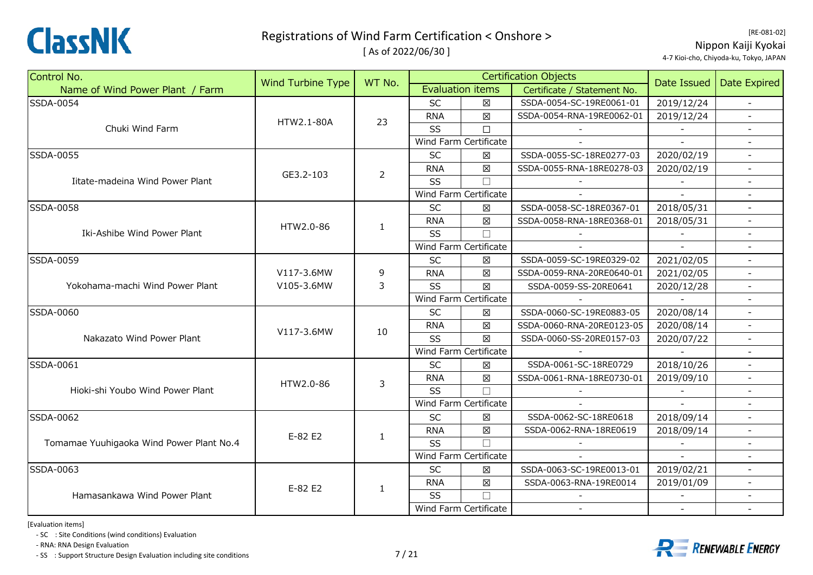

[ As of 2022/06/30 ]

| Control No.                              |                          |                                                                                                                                                                      |            |                          | <b>Certification Objects</b> |                                                                                                 |                          |
|------------------------------------------|--------------------------|----------------------------------------------------------------------------------------------------------------------------------------------------------------------|------------|--------------------------|------------------------------|-------------------------------------------------------------------------------------------------|--------------------------|
| Name of Wind Power Plant / Farm          | <b>Wind Turbine Type</b> | WT No.                                                                                                                                                               |            | <b>Evaluation items</b>  | Certificate / Statement No.  |                                                                                                 | <b>Date Expired</b>      |
| <b>SSDA-0054</b>                         |                          |                                                                                                                                                                      | <b>SC</b>  | 冈                        | SSDA-0054-SC-19RE0061-01     | 2019/12/24                                                                                      |                          |
|                                          | HTW2.1-80A               | 23                                                                                                                                                                   | <b>RNA</b> | $\boxtimes$              | SSDA-0054-RNA-19RE0062-01    | 2019/12/24                                                                                      |                          |
| Chuki Wind Farm                          |                          |                                                                                                                                                                      | SS         | $\Box$                   |                              |                                                                                                 |                          |
|                                          |                          |                                                                                                                                                                      |            | Wind Farm Certificate    |                              | $\sim$                                                                                          | $\overline{\phantom{a}}$ |
| <b>SSDA-0055</b>                         |                          |                                                                                                                                                                      | <b>SC</b>  | $\boxtimes$              | SSDA-0055-SC-18RE0277-03     | 2020/02/19                                                                                      | $\blacksquare$           |
|                                          | GE3.2-103                | $\overline{2}$                                                                                                                                                       | <b>RNA</b> | 区                        | SSDA-0055-RNA-18RE0278-03    | 2020/02/19                                                                                      |                          |
| Iitate-madeina Wind Power Plant          |                          |                                                                                                                                                                      | SS         | $\Box$                   |                              |                                                                                                 |                          |
|                                          |                          |                                                                                                                                                                      |            | Wind Farm Certificate    |                              |                                                                                                 |                          |
| SSDA-0058                                |                          |                                                                                                                                                                      | <b>SC</b>  | ×                        | SSDA-0058-SC-18RE0367-01     | 2018/05/31                                                                                      |                          |
|                                          | HTW2.0-86                |                                                                                                                                                                      | <b>RNA</b> | $\boxtimes$              | SSDA-0058-RNA-18RE0368-01    | 2018/05/31                                                                                      | $\blacksquare$           |
| Iki-Ashibe Wind Power Plant              |                          |                                                                                                                                                                      | SS         | $\Box$                   |                              |                                                                                                 |                          |
|                                          |                          |                                                                                                                                                                      |            |                          |                              |                                                                                                 |                          |
| SSDA-0059                                |                          |                                                                                                                                                                      | SC         | $\boxtimes$              | SSDA-0059-SC-19RE0329-02     | 2021/02/05                                                                                      |                          |
|                                          | V117-3.6MW               | 9                                                                                                                                                                    | <b>RNA</b> | $\boxtimes$              | SSDA-0059-RNA-20RE0640-01    | 2021/02/05                                                                                      |                          |
| Yokohama-machi Wind Power Plant          | V105-3.6MW               | $\mathsf{3}$                                                                                                                                                         | SS         | $\boxtimes$              | SSDA-0059-SS-20RE0641        | 2020/12/28                                                                                      | $\overline{\phantom{a}}$ |
|                                          |                          |                                                                                                                                                                      |            |                          |                              |                                                                                                 |                          |
| <b>SSDA-0060</b>                         |                          |                                                                                                                                                                      | <b>SC</b>  | X                        | SSDA-0060-SC-19RE0883-05     | 2020/08/14                                                                                      |                          |
|                                          | V117-3.6MW               |                                                                                                                                                                      | <b>RNA</b> | $\boxtimes$              | SSDA-0060-RNA-20RE0123-05    | 2020/08/14                                                                                      |                          |
| Nakazato Wind Power Plant                |                          | 1<br>Wind Farm Certificate<br>Wind Farm Certificate<br>10<br>$\boxtimes$<br>SS<br>Wind Farm Certificate<br>SC<br>区<br>$\boxtimes$<br><b>RNA</b><br>3<br>SS<br>$\Box$ |            | SSDA-0060-SS-20RE0157-03 | 2020/07/22                   | $\overline{\phantom{a}}$                                                                        |                          |
|                                          |                          |                                                                                                                                                                      |            |                          |                              | Date Issued<br>2018/10/26<br>2019/09/10<br>2018/09/14<br>2018/09/14<br>2019/02/21<br>2019/01/09 |                          |
| SSDA-0061                                |                          |                                                                                                                                                                      |            |                          | SSDA-0061-SC-18RE0729        |                                                                                                 |                          |
|                                          | HTW2.0-86                |                                                                                                                                                                      |            |                          | SSDA-0061-RNA-18RE0730-01    |                                                                                                 |                          |
| Hioki-shi Youbo Wind Power Plant         |                          |                                                                                                                                                                      |            |                          |                              |                                                                                                 |                          |
|                                          |                          |                                                                                                                                                                      |            | Wind Farm Certificate    |                              |                                                                                                 |                          |
| SSDA-0062                                |                          |                                                                                                                                                                      | SC         | $\boxtimes$              | SSDA-0062-SC-18RE0618        |                                                                                                 | $\blacksquare$           |
|                                          | E-82 E2                  | $\mathbf{1}$                                                                                                                                                         | <b>RNA</b> | $\boxtimes$              | SSDA-0062-RNA-18RE0619       |                                                                                                 |                          |
| Tomamae Yuuhigaoka Wind Power Plant No.4 |                          |                                                                                                                                                                      | SS         | $\Box$                   |                              |                                                                                                 |                          |
|                                          |                          |                                                                                                                                                                      |            | Wind Farm Certificate    |                              |                                                                                                 |                          |
| SSDA-0063                                |                          |                                                                                                                                                                      | <b>SC</b>  | ⊠                        | SSDA-0063-SC-19RE0013-01     |                                                                                                 |                          |
|                                          | E-82 E2                  |                                                                                                                                                                      | <b>RNA</b> | $\boxtimes$              | SSDA-0063-RNA-19RE0014       |                                                                                                 |                          |
| Hamasankawa Wind Power Plant             |                          | 1                                                                                                                                                                    | SS         | $\Box$                   |                              |                                                                                                 |                          |
|                                          |                          |                                                                                                                                                                      |            | Wind Farm Certificate    |                              |                                                                                                 |                          |

[Evaluation items]

‐ SC : Site Conditions (wind conditions) Evaluation

‐ RNA: RNA Design Evaluation

‐ SS : Support Structure Design Evaluation including site conditions <sup>7</sup> / 21

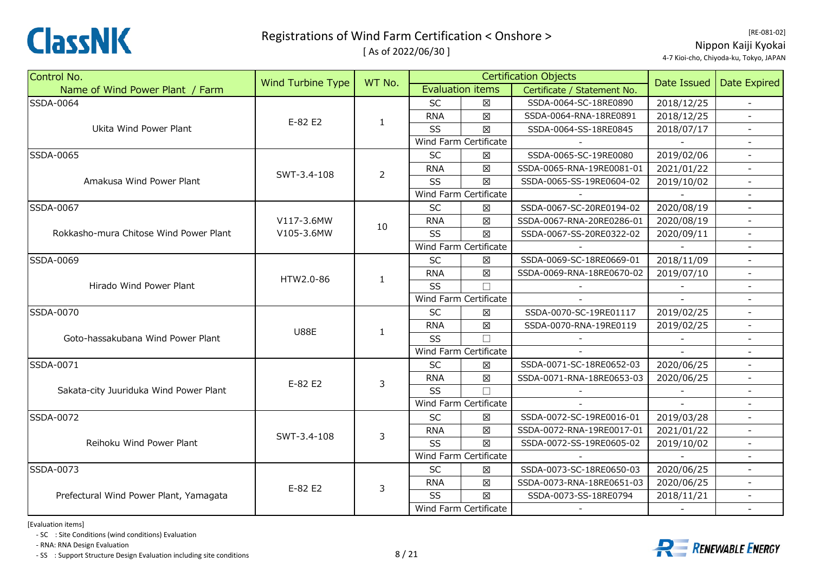

[ As of 2022/06/30 ]

[RE‐081‐02] Nippon Kaiji Kyokai 4‐7 Kioi‐cho, Chiyoda‐ku, Tokyo, JAPAN

| Control No.                            | <b>Wind Turbine Type</b> | WT No.         |            |                         | <b>Certification Objects</b> |                                                                                                                             | <b>Date Expired</b>      |
|----------------------------------------|--------------------------|----------------|------------|-------------------------|------------------------------|-----------------------------------------------------------------------------------------------------------------------------|--------------------------|
| Name of Wind Power Plant / Farm        |                          |                |            | <b>Evaluation items</b> | Certificate / Statement No.  |                                                                                                                             |                          |
| SSDA-0064                              |                          |                | <b>SC</b>  | X                       | SSDA-0064-SC-18RE0890        | 2018/12/25                                                                                                                  |                          |
|                                        | E-82 E2                  | $\mathbf{1}$   | <b>RNA</b> | $\boxtimes$             | SSDA-0064-RNA-18RE0891       | 2018/12/25                                                                                                                  |                          |
| Ukita Wind Power Plant                 |                          |                | SS         | $\boxtimes$             | SSDA-0064-SS-18RE0845        | 2018/07/17                                                                                                                  |                          |
|                                        |                          |                |            | Wind Farm Certificate   |                              |                                                                                                                             |                          |
| <b>SSDA-0065</b>                       |                          |                | SC         | X                       | SSDA-0065-SC-19RE0080        | 2019/02/06                                                                                                                  | $\sim$                   |
|                                        | SWT-3.4-108              | $\overline{2}$ | <b>RNA</b> | 区                       | SSDA-0065-RNA-19RE0081-01    | 2021/01/22                                                                                                                  |                          |
| Amakusa Wind Power Plant               |                          |                | SS         | X                       | SSDA-0065-SS-19RE0604-02     | 2019/10/02                                                                                                                  |                          |
|                                        |                          |                |            | Wind Farm Certificate   |                              |                                                                                                                             |                          |
| SSDA-0067                              |                          |                | <b>SC</b>  | X                       | SSDA-0067-SC-20RE0194-02     | 2020/08/19                                                                                                                  |                          |
|                                        | V117-3.6MW               | 10             | <b>RNA</b> | $\boxtimes$             | SSDA-0067-RNA-20RE0286-01    | 2020/08/19                                                                                                                  |                          |
| Rokkasho-mura Chitose Wind Power Plant | V105-3.6MW               |                | SS         | 区                       | SSDA-0067-SS-20RE0322-02     | 2020/09/11                                                                                                                  | $\overline{\phantom{a}}$ |
|                                        |                          |                |            | Wind Farm Certificate   |                              |                                                                                                                             |                          |
| SSDA-0069                              |                          |                | <b>SC</b>  | X                       | SSDA-0069-SC-18RE0669-01     | 2018/11/09                                                                                                                  |                          |
|                                        | HTW2.0-86                | $\mathbf{1}$   | <b>RNA</b> | $\boxtimes$             | SSDA-0069-RNA-18RE0670-02    | 2019/07/10                                                                                                                  |                          |
| Hirado Wind Power Plant                |                          |                | SS         | $\Box$                  |                              |                                                                                                                             | $\overline{\phantom{a}}$ |
|                                        |                          |                |            | Wind Farm Certificate   |                              | $\sim$                                                                                                                      |                          |
| SSDA-0070                              |                          |                | <b>SC</b>  | X                       | SSDA-0070-SC-19RE01117       | 2019/02/25                                                                                                                  |                          |
|                                        | <b>U88E</b>              | 1              | <b>RNA</b> | $\boxtimes$             | SSDA-0070-RNA-19RE0119       | 2019/02/25                                                                                                                  |                          |
| Goto-hassakubana Wind Power Plant      |                          |                | SS         | $\Box$                  |                              |                                                                                                                             |                          |
|                                        |                          |                |            | Wind Farm Certificate   |                              | Date Issued<br>2020/06/25<br>2020/06/25<br>2019/03/28<br>2021/01/22<br>2019/10/02<br>2020/06/25<br>2020/06/25<br>2018/11/21 |                          |
| SSDA-0071                              |                          |                | <b>SC</b>  | $\boxtimes$             | SSDA-0071-SC-18RE0652-03     |                                                                                                                             | $\blacksquare$           |
|                                        | E-82 E2                  | 3              | <b>RNA</b> | $\boxtimes$             | SSDA-0071-RNA-18RE0653-03    |                                                                                                                             |                          |
| Sakata-city Juuriduka Wind Power Plant |                          |                | SS         | $\Box$                  |                              |                                                                                                                             |                          |
|                                        |                          |                |            | Wind Farm Certificate   |                              |                                                                                                                             |                          |
| <b>SSDA-0072</b>                       |                          |                | <b>SC</b>  | X                       | SSDA-0072-SC-19RE0016-01     |                                                                                                                             |                          |
|                                        | SWT-3.4-108              | 3              | <b>RNA</b> | $\boxtimes$             | SSDA-0072-RNA-19RE0017-01    |                                                                                                                             | $\blacksquare$           |
| Reihoku Wind Power Plant               |                          |                | SS         | $\boxtimes$             | SSDA-0072-SS-19RE0605-02     |                                                                                                                             |                          |
|                                        |                          |                |            | Wind Farm Certificate   |                              |                                                                                                                             |                          |
| SSDA-0073                              |                          |                | SC         | $\boxtimes$             | SSDA-0073-SC-18RE0650-03     |                                                                                                                             |                          |
|                                        | E-82 E2                  | 3              | <b>RNA</b> | $\boxtimes$             | SSDA-0073-RNA-18RE0651-03    |                                                                                                                             |                          |
| Prefectural Wind Power Plant, Yamagata |                          |                | SS         | $\boxtimes$             | SSDA-0073-SS-18RE0794        |                                                                                                                             | $\overline{\phantom{a}}$ |
|                                        |                          |                |            | Wind Farm Certificate   |                              |                                                                                                                             | $\blacksquare$           |

[Evaluation items]

‐ SC : Site Conditions (wind conditions) Evaluation

‐ RNA: RNA Design Evaluation

‐ SS : Support Structure Design Evaluation including site conditions 8 / 21

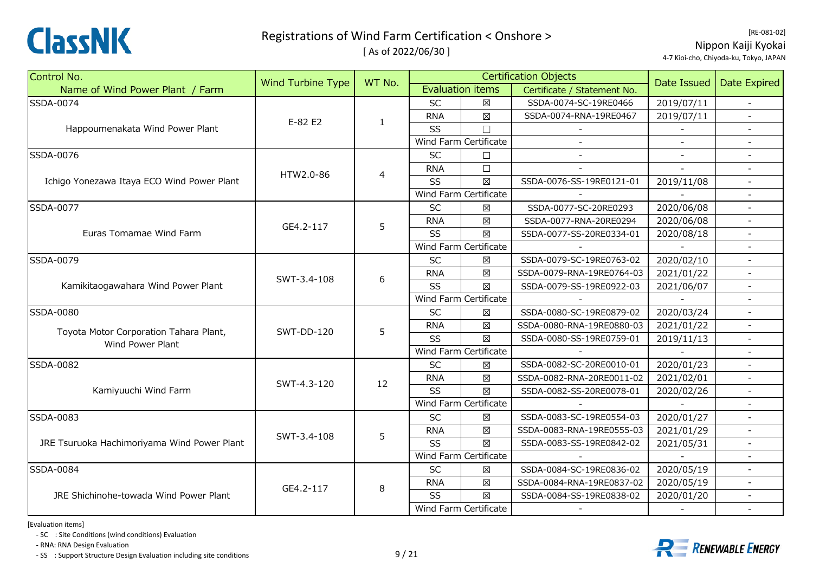

[ As of 2022/06/30 ]

[RE‐081‐02] Nippon Kaiji Kyokai 4‐7 Kioi‐cho, Chiyoda‐ku, Tokyo, JAPAN

| Control No.                                 |                          | WT No.         |            |                         | <b>Certification Objects</b> | Date Issued |                          |
|---------------------------------------------|--------------------------|----------------|------------|-------------------------|------------------------------|-------------|--------------------------|
| Name of Wind Power Plant / Farm             | <b>Wind Turbine Type</b> |                |            | <b>Evaluation items</b> | Certificate / Statement No.  |             | Date Expired             |
| SSDA-0074                                   |                          |                | <b>SC</b>  | 図                       | SSDA-0074-SC-19RE0466        | 2019/07/11  | $\sim$                   |
|                                             |                          | $\mathbf{1}$   | <b>RNA</b> | $\boxtimes$             | SSDA-0074-RNA-19RE0467       | 2019/07/11  |                          |
| Happoumenakata Wind Power Plant             | E-82 E2                  |                | SS         | $\Box$                  |                              |             |                          |
|                                             |                          |                |            | Wind Farm Certificate   |                              |             | $\blacksquare$           |
| SSDA-0076                                   |                          |                | SC         | $\Box$                  | $\blacksquare$               | $\sim$      | $\overline{a}$           |
|                                             | HTW2.0-86                | $\overline{4}$ | <b>RNA</b> | $\Box$                  |                              | $\sim$      |                          |
| Ichigo Yonezawa Itaya ECO Wind Power Plant  |                          |                | SS         | $\boxtimes$             | SSDA-0076-SS-19RE0121-01     | 2019/11/08  |                          |
|                                             |                          |                |            | Wind Farm Certificate   |                              |             |                          |
| SSDA-0077                                   |                          |                | <b>SC</b>  | ⊠                       | SSDA-0077-SC-20RE0293        | 2020/06/08  |                          |
|                                             | GE4.2-117                | 5              | <b>RNA</b> | 図                       | SSDA-0077-RNA-20RE0294       | 2020/06/08  | $\overline{\phantom{a}}$ |
| Euras Tomamae Wind Farm                     |                          |                | SS         | $\boxtimes$             | SSDA-0077-SS-20RE0334-01     | 2020/08/18  |                          |
|                                             |                          |                |            | Wind Farm Certificate   |                              |             |                          |
| SSDA-0079                                   |                          |                | <b>SC</b>  | 図                       | SSDA-0079-SC-19RE0763-02     | 2020/02/10  |                          |
|                                             | SWT-3.4-108              | 6              | <b>RNA</b> | 図                       | SSDA-0079-RNA-19RE0764-03    | 2021/01/22  |                          |
| Kamikitaogawahara Wind Power Plant          |                          |                | SS         | $\boxtimes$             | SSDA-0079-SS-19RE0922-03     | 2021/06/07  | $\overline{\phantom{a}}$ |
|                                             |                          |                |            | Wind Farm Certificate   |                              |             |                          |
| SSDA-0080                                   |                          |                | <b>SC</b>  | ⊠                       | SSDA-0080-SC-19RE0879-02     | 2020/03/24  |                          |
| Toyota Motor Corporation Tahara Plant,      | <b>SWT-DD-120</b>        | 5              | <b>RNA</b> | $\boxtimes$             | SSDA-0080-RNA-19RE0880-03    | 2021/01/22  |                          |
| Wind Power Plant                            |                          |                | SS         | $\boxtimes$             | SSDA-0080-SS-19RE0759-01     | 2019/11/13  | $\overline{\phantom{a}}$ |
|                                             |                          |                |            | Wind Farm Certificate   |                              |             |                          |
| SSDA-0082                                   |                          |                | SC         | $\boxtimes$             | SSDA-0082-SC-20RE0010-01     | 2020/01/23  | $\blacksquare$           |
|                                             | SWT-4.3-120              | 12             | <b>RNA</b> | 図                       | SSDA-0082-RNA-20RE0011-02    | 2021/02/01  |                          |
| Kamiyuuchi Wind Farm                        |                          |                | SS         | $\boxtimes$             | SSDA-0082-SS-20RE0078-01     | 2020/02/26  |                          |
|                                             |                          |                |            | Wind Farm Certificate   |                              |             |                          |
| SSDA-0083                                   |                          |                | <b>SC</b>  | ⊠                       | SSDA-0083-SC-19RE0554-03     | 2020/01/27  | $\blacksquare$           |
|                                             | SWT-3.4-108              | 5              | <b>RNA</b> | $\boxtimes$             | SSDA-0083-RNA-19RE0555-03    | 2021/01/29  | $\blacksquare$           |
| JRE Tsuruoka Hachimoriyama Wind Power Plant |                          |                | SS         | 区                       | SSDA-0083-SS-19RE0842-02     | 2021/05/31  |                          |
|                                             |                          |                |            | Wind Farm Certificate   |                              |             |                          |
| SSDA-0084                                   |                          |                | <b>SC</b>  | 区                       | SSDA-0084-SC-19RE0836-02     | 2020/05/19  |                          |
|                                             | GE4.2-117                | 8              | <b>RNA</b> | ⊠                       | SSDA-0084-RNA-19RE0837-02    | 2020/05/19  | $\overline{\phantom{a}}$ |
| JRE Shichinohe-towada Wind Power Plant      |                          |                | SS         | $\boxtimes$             | SSDA-0084-SS-19RE0838-02     | 2020/01/20  | $\blacksquare$           |
|                                             |                          |                |            | Wind Farm Certificate   |                              |             | $\blacksquare$           |

[Evaluation items]

‐ SC : Site Conditions (wind conditions) Evaluation

‐ RNA: RNA Design Evaluation

‐ SS : Support Structure Design Evaluation including site conditions 9 / 21

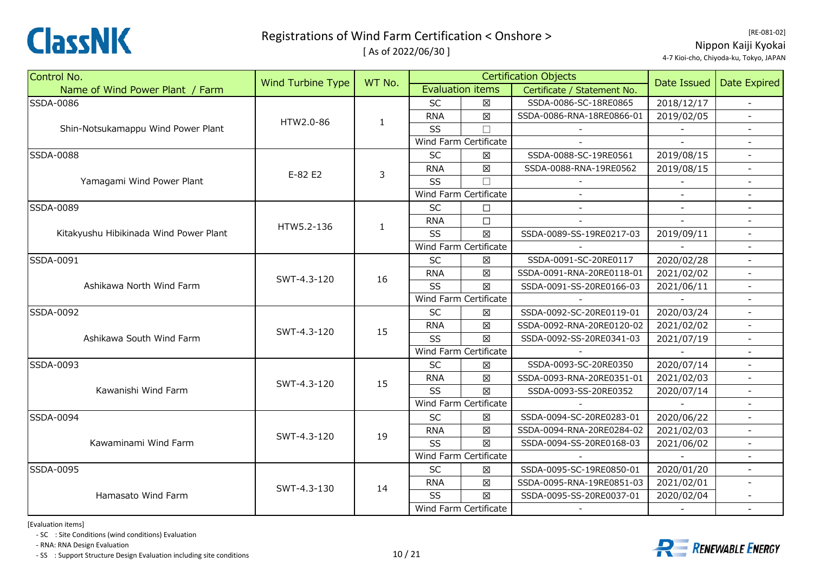

[ As of 2022/06/30 ]

[RE‐081‐02] Nippon Kaiji Kyokai 4‐7 Kioi‐cho, Chiyoda‐ku, Tokyo, JAPAN

| Control No.                            | <b>Wind Turbine Type</b> | WT No.                   |            |                         | <b>Certification Objects</b> | Date Issued | <b>Date Expired</b>      |
|----------------------------------------|--------------------------|--------------------------|------------|-------------------------|------------------------------|-------------|--------------------------|
| Name of Wind Power Plant / Farm        |                          |                          |            | <b>Evaluation items</b> | Certificate / Statement No.  |             |                          |
| SSDA-0086                              |                          |                          | <b>SC</b>  | 図                       | SSDA-0086-SC-18RE0865        | 2018/12/17  | $\sim$                   |
|                                        | HTW2.0-86                | $\mathbf{1}$             | <b>RNA</b> | $\boxtimes$             | SSDA-0086-RNA-18RE0866-01    | 2019/02/05  |                          |
| Shin-Notsukamappu Wind Power Plant     |                          |                          | SS         | $\Box$                  |                              |             |                          |
|                                        |                          |                          |            | Wind Farm Certificate   |                              |             |                          |
| SSDA-0088                              |                          |                          | SC         | $\boxtimes$             | SSDA-0088-SC-19RE0561        | 2019/08/15  | $\blacksquare$           |
|                                        | E-82 E2                  | 3                        | <b>RNA</b> | $\boxtimes$             | SSDA-0088-RNA-19RE0562       | 2019/08/15  | $\overline{a}$           |
| Yamagami Wind Power Plant              |                          |                          | SS         | $\Box$                  |                              |             |                          |
|                                        |                          |                          |            | Wind Farm Certificate   |                              |             |                          |
| SSDA-0089                              |                          |                          | <b>SC</b>  | $\Box$                  |                              |             | $\overline{a}$           |
|                                        | HTW5.2-136               |                          | <b>RNA</b> | $\Box$                  |                              |             |                          |
| Kitakyushu Hibikinada Wind Power Plant |                          |                          | SS         | $\boxtimes$             | SSDA-0089-SS-19RE0217-03     | 2019/09/11  | $\overline{\phantom{a}}$ |
|                                        |                          |                          |            | Wind Farm Certificate   |                              |             |                          |
| SSDA-0091                              |                          |                          | <b>SC</b>  | ⊠                       | SSDA-0091-SC-20RE0117        | 2020/02/28  | $\blacksquare$           |
|                                        | SWT-4.3-120              | 16                       | <b>RNA</b> | $\boxtimes$             | SSDA-0091-RNA-20RE0118-01    | 2021/02/02  |                          |
| Ashikawa North Wind Farm               |                          |                          | SS         | $\boxtimes$             | SSDA-0091-SS-20RE0166-03     | 2021/06/11  | $\overline{\phantom{a}}$ |
|                                        |                          |                          |            | Wind Farm Certificate   |                              |             | L,                       |
| SSDA-0092                              |                          |                          | <b>SC</b>  | $\boxtimes$             | SSDA-0092-SC-20RE0119-01     | 2020/03/24  | $\blacksquare$           |
|                                        | SWT-4.3-120              | $\mathbf{1}$<br>15<br>15 | <b>RNA</b> | $\boxtimes$             | SSDA-0092-RNA-20RE0120-02    | 2021/02/02  | $\overline{\phantom{a}}$ |
| Ashikawa South Wind Farm               |                          |                          | SS         | $\boxtimes$             | SSDA-0092-SS-20RE0341-03     | 2021/07/19  |                          |
|                                        |                          |                          |            | Wind Farm Certificate   |                              |             |                          |
| SSDA-0093                              |                          |                          | SC         | $\boxtimes$             | SSDA-0093-SC-20RE0350        | 2020/07/14  | $\sim$                   |
|                                        | SWT-4.3-120              |                          | <b>RNA</b> | $\boxtimes$             | SSDA-0093-RNA-20RE0351-01    | 2021/02/03  | $\blacksquare$           |
| Kawanishi Wind Farm                    |                          |                          | SS         | $\boxtimes$             | SSDA-0093-SS-20RE0352        | 2020/07/14  |                          |
|                                        |                          |                          |            | Wind Farm Certificate   |                              |             |                          |
| SSDA-0094                              |                          |                          | SC         | X                       | SSDA-0094-SC-20RE0283-01     | 2020/06/22  |                          |
|                                        | SWT-4.3-120              | 19                       | <b>RNA</b> | $\boxtimes$             | SSDA-0094-RNA-20RE0284-02    | 2021/02/03  | $\overline{\phantom{a}}$ |
| Kawaminami Wind Farm                   |                          |                          | SS         | $\boxtimes$             | SSDA-0094-SS-20RE0168-03     | 2021/06/02  | $\blacksquare$           |
|                                        |                          |                          |            | Wind Farm Certificate   |                              |             |                          |
| SSDA-0095                              |                          |                          | <b>SC</b>  | 区                       | SSDA-0095-SC-19RE0850-01     | 2020/01/20  |                          |
|                                        | SWT-4.3-130              | 14                       | <b>RNA</b> | $\boxtimes$             | SSDA-0095-RNA-19RE0851-03    | 2021/02/01  |                          |
| Hamasato Wind Farm                     |                          |                          | SS         | $\boxtimes$             | SSDA-0095-SS-20RE0037-01     | 2020/02/04  |                          |
|                                        |                          |                          |            | Wind Farm Certificate   |                              |             |                          |

[Evaluation items]

‐ SC : Site Conditions (wind conditions) Evaluation

‐ RNA: RNA Design Evaluation

‐ SS : Support Structure Design Evaluation including site conditions 10 / 21



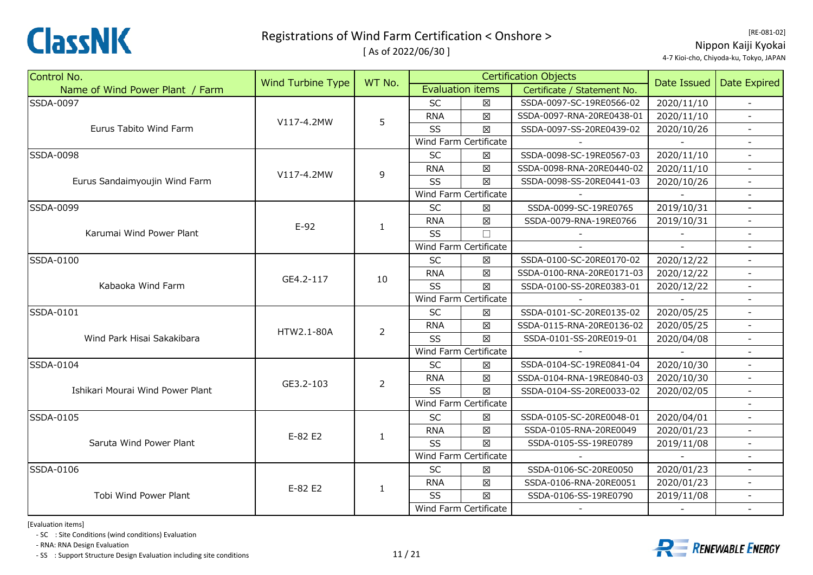

[ As of 2022/06/30 ]

[RE‐081‐02] Nippon Kaiji Kyokai 4‐7 Kioi‐cho, Chiyoda‐ku, Tokyo, JAPAN

| Control No.                      | Wind Turbine Type | WT No.         |                       |                         | <b>Certification Objects</b> | Date Issued | <b>Date Expired</b>      |
|----------------------------------|-------------------|----------------|-----------------------|-------------------------|------------------------------|-------------|--------------------------|
| Name of Wind Power Plant / Farm  |                   |                |                       | <b>Evaluation items</b> | Certificate / Statement No.  |             |                          |
| <b>SSDA-0097</b>                 |                   |                | <b>SC</b>             | X                       | SSDA-0097-SC-19RE0566-02     | 2020/11/10  |                          |
|                                  | V117-4.2MW        | 5              | <b>RNA</b>            | $\boxtimes$             | SSDA-0097-RNA-20RE0438-01    | 2020/11/10  |                          |
| Eurus Tabito Wind Farm           |                   |                | <b>SS</b>             | $\boxtimes$             | SSDA-0097-SS-20RE0439-02     | 2020/10/26  |                          |
|                                  |                   |                |                       | Wind Farm Certificate   |                              |             |                          |
| <b>SSDA-0098</b>                 |                   |                | SC                    | $\boxtimes$             | SSDA-0098-SC-19RE0567-03     | 2020/11/10  | $-$                      |
|                                  | V117-4.2MW        | $\overline{9}$ | <b>RNA</b>            | $\boxtimes$             | SSDA-0098-RNA-20RE0440-02    | 2020/11/10  | $\blacksquare$           |
| Eurus Sandaimyoujin Wind Farm    |                   |                | SS                    | $\boxtimes$             | SSDA-0098-SS-20RE0441-03     | 2020/10/26  |                          |
|                                  |                   |                | Wind Farm Certificate |                         |                              |             |                          |
| SSDA-0099                        |                   |                | <b>SC</b>             | X                       | SSDA-0099-SC-19RE0765        | 2019/10/31  |                          |
|                                  | $E-92$            | $\mathbf{1}$   | <b>RNA</b>            | $\boxtimes$             | SSDA-0079-RNA-19RE0766       | 2019/10/31  | $\overline{\phantom{a}}$ |
| Karumai Wind Power Plant         |                   |                | <b>SS</b>             | $\Box$                  |                              |             | $\overline{\phantom{a}}$ |
|                                  |                   |                |                       | Wind Farm Certificate   |                              |             |                          |
| SSDA-0100                        |                   | 10             | <b>SC</b>             | $\boxtimes$             | SSDA-0100-SC-20RE0170-02     | 2020/12/22  | $\blacksquare$           |
|                                  | GE4.2-117         |                | <b>RNA</b>            | $\boxtimes$             | SSDA-0100-RNA-20RE0171-03    | 2020/12/22  |                          |
| Kabaoka Wind Farm                |                   |                | SS                    | $\boxtimes$             | SSDA-0100-SS-20RE0383-01     | 2020/12/22  |                          |
|                                  |                   |                |                       | Wind Farm Certificate   |                              |             |                          |
| SSDA-0101                        |                   |                | SC                    | $\boxtimes$             | SSDA-0101-SC-20RE0135-02     | 2020/05/25  | $\overline{\phantom{a}}$ |
|                                  | HTW2.1-80A        | $\overline{2}$ | <b>RNA</b>            | $\boxtimes$             | SSDA-0115-RNA-20RE0136-02    | 2020/05/25  |                          |
| Wind Park Hisai Sakakibara       |                   |                | SS                    | $\boxtimes$             | SSDA-0101-SS-20RE019-01      | 2020/04/08  |                          |
|                                  |                   |                |                       | Wind Farm Certificate   |                              |             |                          |
| SSDA-0104                        |                   |                | <b>SC</b>             | $\boxtimes$             | SSDA-0104-SC-19RE0841-04     | 2020/10/30  | $\blacksquare$           |
|                                  | GE3.2-103         | $\overline{2}$ | <b>RNA</b>            | $\boxtimes$             | SSDA-0104-RNA-19RE0840-03    | 2020/10/30  | $\overline{\phantom{a}}$ |
| Ishikari Mourai Wind Power Plant |                   |                | <b>SS</b>             | X                       | SSDA-0104-SS-20RE0033-02     | 2020/02/05  |                          |
|                                  |                   |                | Wind Farm Certificate |                         |                              |             |                          |
| SSDA-0105                        |                   |                | SC                    | $\boxtimes$             | SSDA-0105-SC-20RE0048-01     | 2020/04/01  |                          |
|                                  | E-82 E2           | $\mathbf{1}$   | <b>RNA</b>            | $\boxtimes$             | SSDA-0105-RNA-20RE0049       | 2020/01/23  | $\blacksquare$           |
| Saruta Wind Power Plant          |                   |                | <b>SS</b>             | $\boxtimes$             | SSDA-0105-SS-19RE0789        | 2019/11/08  | $\overline{\phantom{a}}$ |
|                                  |                   |                |                       | Wind Farm Certificate   |                              |             |                          |
| <b>SSDA-0106</b>                 |                   |                | <b>SC</b>             | 区                       | SSDA-0106-SC-20RE0050        | 2020/01/23  |                          |
|                                  | E-82 E2           | 1              | <b>RNA</b>            | $\boxtimes$             | SSDA-0106-RNA-20RE0051       | 2020/01/23  |                          |
| Tobi Wind Power Plant            |                   |                | <b>SS</b>             | $\boxtimes$             | SSDA-0106-SS-19RE0790        | 2019/11/08  |                          |
|                                  |                   |                |                       | Wind Farm Certificate   |                              |             | $\blacksquare$           |

[Evaluation items]

‐ SC : Site Conditions (wind conditions) Evaluation

‐ RNA: RNA Design Evaluation

- SS : Support Structure Design Evaluation including site conditions  $11/21$ 



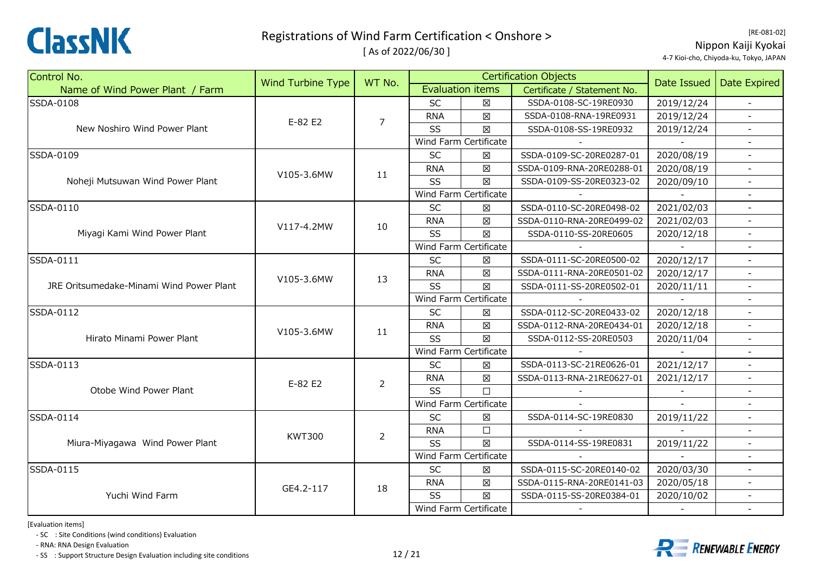

[ As of 2022/06/30 ]

[RE‐081‐02] Nippon Kaiji Kyokai 4‐7 Kioi‐cho, Chiyoda‐ku, Tokyo, JAPAN

| Control No.                              | Wind Turbine Type | WT No.         |            |                         | <b>Certification Objects</b> |                                                                                                               | Date Expired             |
|------------------------------------------|-------------------|----------------|------------|-------------------------|------------------------------|---------------------------------------------------------------------------------------------------------------|--------------------------|
| Name of Wind Power Plant / Farm          |                   |                |            | <b>Evaluation items</b> | Certificate / Statement No.  |                                                                                                               |                          |
| SSDA-0108                                |                   |                | <b>SC</b>  | 区                       | SSDA-0108-SC-19RE0930        | 2019/12/24                                                                                                    | $\overline{\phantom{a}}$ |
|                                          | E-82 E2           | $\overline{7}$ | <b>RNA</b> | $\boxtimes$             | SSDA-0108-RNA-19RE0931       | 2019/12/24                                                                                                    |                          |
| New Noshiro Wind Power Plant             |                   |                | SS         | $\boxtimes$             | SSDA-0108-SS-19RE0932        | 2019/12/24                                                                                                    |                          |
|                                          |                   |                |            | Wind Farm Certificate   |                              |                                                                                                               | $\blacksquare$           |
| SSDA-0109                                |                   |                | SC         | X                       | SSDA-0109-SC-20RE0287-01     | 2020/08/19                                                                                                    | $\blacksquare$           |
|                                          | V105-3.6MW        | 11             | <b>RNA</b> | $\boxtimes$             | SSDA-0109-RNA-20RE0288-01    | 2020/08/19                                                                                                    | $\blacksquare$           |
| Noheji Mutsuwan Wind Power Plant         |                   |                | SS         | $\boxtimes$             | SSDA-0109-SS-20RE0323-02     | 2020/09/10                                                                                                    |                          |
|                                          |                   |                |            | Wind Farm Certificate   |                              |                                                                                                               |                          |
| SSDA-0110                                |                   |                | <b>SC</b>  | ⊠                       | SSDA-0110-SC-20RE0498-02     | 2021/02/03                                                                                                    |                          |
|                                          | V117-4.2MW        | 10             | <b>RNA</b> | 区                       | SSDA-0110-RNA-20RE0499-02    | 2021/02/03                                                                                                    | $\blacksquare$           |
| Miyagi Kami Wind Power Plant             |                   |                | SS         | $\boxtimes$             | SSDA-0110-SS-20RE0605        | 2020/12/18                                                                                                    | $\overline{a}$           |
|                                          |                   |                |            | Wind Farm Certificate   |                              |                                                                                                               |                          |
| SSDA-0111                                |                   |                | <b>SC</b>  | X                       | SSDA-0111-SC-20RE0500-02     | 2020/12/17                                                                                                    | $\equiv$                 |
|                                          | V105-3.6MW        | 13             | <b>RNA</b> | $\boxtimes$             | SSDA-0111-RNA-20RE0501-02    | 2020/12/17                                                                                                    |                          |
| JRE Oritsumedake-Minami Wind Power Plant |                   |                | SS         | $\boxtimes$             | SSDA-0111-SS-20RE0502-01     | 2020/11/11                                                                                                    | $\overline{\phantom{a}}$ |
|                                          |                   |                |            | Wind Farm Certificate   |                              |                                                                                                               | $\blacksquare$           |
| SSDA-0112                                |                   |                | SC         | $\boxtimes$             | SSDA-0112-SC-20RE0433-02     | 2020/12/18                                                                                                    | $\blacksquare$           |
|                                          | V105-3.6MW        | 11             | <b>RNA</b> | $\boxtimes$             | SSDA-0112-RNA-20RE0434-01    | 2020/12/18                                                                                                    |                          |
| Hirato Minami Power Plant                |                   |                | SS         | $\boxtimes$             | SSDA-0112-SS-20RE0503        | 2020/11/04                                                                                                    |                          |
|                                          |                   |                |            | Wind Farm Certificate   |                              | Date Issued<br>2021/12/17<br>2021/12/17<br>2019/11/22<br>2019/11/22<br>2020/03/30<br>2020/05/18<br>2020/10/02 |                          |
| SSDA-0113                                |                   |                | <b>SC</b>  | $\boxtimes$             | SSDA-0113-SC-21RE0626-01     |                                                                                                               | $\blacksquare$           |
|                                          | E-82 E2           | $\overline{2}$ | <b>RNA</b> | 区                       | SSDA-0113-RNA-21RE0627-01    |                                                                                                               | $\overline{\phantom{a}}$ |
| Otobe Wind Power Plant                   |                   |                | SS         | $\Box$                  |                              |                                                                                                               |                          |
|                                          |                   |                |            | Wind Farm Certificate   |                              |                                                                                                               |                          |
| SSDA-0114                                |                   |                | <b>SC</b>  | X                       | SSDA-0114-SC-19RE0830        |                                                                                                               | $\blacksquare$           |
|                                          | <b>KWT300</b>     | $\overline{2}$ | <b>RNA</b> | $\Box$                  |                              |                                                                                                               | $\overline{\phantom{a}}$ |
| Miura-Miyagawa Wind Power Plant          |                   |                | SS         | X                       | SSDA-0114-SS-19RE0831        |                                                                                                               | $\overline{\phantom{a}}$ |
|                                          |                   |                |            | Wind Farm Certificate   |                              |                                                                                                               | $\blacksquare$           |
| SSDA-0115                                |                   |                | SC         | $\boxtimes$             | SSDA-0115-SC-20RE0140-02     |                                                                                                               |                          |
|                                          | GE4.2-117         | 18             | <b>RNA</b> | $\boxtimes$             | SSDA-0115-RNA-20RE0141-03    |                                                                                                               |                          |
| Yuchi Wind Farm                          |                   |                | SS         | $\boxtimes$             | SSDA-0115-SS-20RE0384-01     |                                                                                                               |                          |
|                                          |                   |                |            | Wind Farm Certificate   |                              |                                                                                                               | $\overline{\phantom{a}}$ |

[Evaluation items]

‐ SC : Site Conditions (wind conditions) Evaluation

‐ RNA: RNA Design Evaluation

‐ SS : Support Structure Design Evaluation including site conditions 12 / 21



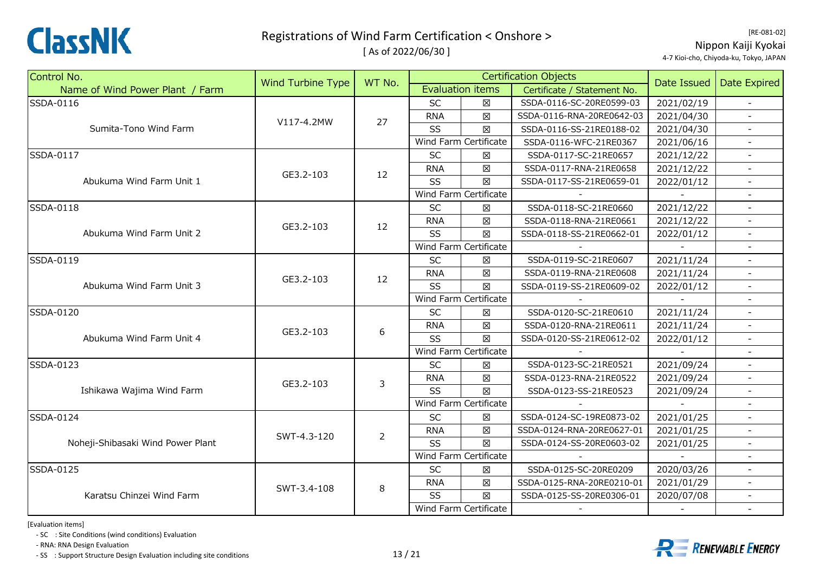

[ As of 2022/06/30 ]

[RE‐081‐02] Nippon Kaiji Kyokai 4‐7 Kioi‐cho, Chiyoda‐ku, Tokyo, JAPAN

| Control No.                       | Wind Turbine Type | WT No.         |            | <b>Certification Objects</b> |                             |             | Date Expired             |
|-----------------------------------|-------------------|----------------|------------|------------------------------|-----------------------------|-------------|--------------------------|
| Name of Wind Power Plant / Farm   |                   |                |            | <b>Evaluation items</b>      | Certificate / Statement No. | Date Issued |                          |
| SSDA-0116                         |                   |                | SC         | $\boxtimes$                  | SSDA-0116-SC-20RE0599-03    | 2021/02/19  | $\sim$                   |
|                                   | V117-4.2MW        | 27             | <b>RNA</b> | 区                            | SSDA-0116-RNA-20RE0642-03   | 2021/04/30  |                          |
| Sumita-Tono Wind Farm             |                   |                | SS         | $\boxtimes$                  | SSDA-0116-SS-21RE0188-02    | 2021/04/30  |                          |
|                                   |                   |                |            | Wind Farm Certificate        | SSDA-0116-WFC-21RE0367      | 2021/06/16  | $\blacksquare$           |
| SSDA-0117                         |                   |                | <b>SC</b>  | $\boxtimes$                  | SSDA-0117-SC-21RE0657       | 2021/12/22  | $\blacksquare$           |
|                                   | GE3.2-103         | 12             | <b>RNA</b> | $\boxtimes$                  | SSDA-0117-RNA-21RE0658      | 2021/12/22  | $\blacksquare$           |
| Abukuma Wind Farm Unit 1          |                   |                | SS         | $\boxtimes$                  | SSDA-0117-SS-21RE0659-01    | 2022/01/12  |                          |
|                                   |                   |                |            | Wind Farm Certificate        |                             |             |                          |
| SSDA-0118                         |                   |                | SC         | X                            | SSDA-0118-SC-21RE0660       | 2021/12/22  |                          |
|                                   | GE3.2-103         | 12             | <b>RNA</b> | 区                            | SSDA-0118-RNA-21RE0661      | 2021/12/22  | $\overline{\phantom{a}}$ |
| Abukuma Wind Farm Unit 2          |                   |                | SS         | $\boxtimes$                  | SSDA-0118-SS-21RE0662-01    | 2022/01/12  | $\blacksquare$           |
|                                   |                   |                |            | Wind Farm Certificate        |                             |             |                          |
| SSDA-0119                         |                   |                | <b>SC</b>  | 区                            | SSDA-0119-SC-21RE0607       | 2021/11/24  |                          |
|                                   | GE3.2-103         | 12             | <b>RNA</b> | 区                            | SSDA-0119-RNA-21RE0608      | 2021/11/24  |                          |
| Abukuma Wind Farm Unit 3          |                   |                | SS         | 区                            | SSDA-0119-SS-21RE0609-02    | 2022/01/12  | $\overline{\phantom{a}}$ |
|                                   |                   |                |            | Wind Farm Certificate        |                             |             | $\blacksquare$           |
| SSDA-0120                         |                   | 6              | <b>SC</b>  | 区                            | SSDA-0120-SC-21RE0610       | 2021/11/24  | $\equiv$                 |
|                                   | GE3.2-103         |                | <b>RNA</b> | $\boxtimes$                  | SSDA-0120-RNA-21RE0611      | 2021/11/24  |                          |
| Abukuma Wind Farm Unit 4          |                   |                | SS         | 区                            | SSDA-0120-SS-21RE0612-02    | 2022/01/12  |                          |
|                                   |                   |                |            | Wind Farm Certificate        |                             |             |                          |
| SSDA-0123                         |                   |                | <b>SC</b>  | X                            | SSDA-0123-SC-21RE0521       | 2021/09/24  | $\mathbf{r}$             |
|                                   | GE3.2-103         | 3              | <b>RNA</b> | 区                            | SSDA-0123-RNA-21RE0522      | 2021/09/24  |                          |
| Ishikawa Wajima Wind Farm         |                   |                | SS         | $\boxtimes$                  | SSDA-0123-SS-21RE0523       | 2021/09/24  |                          |
|                                   |                   |                |            | Wind Farm Certificate        |                             |             |                          |
| SSDA-0124                         |                   |                | <b>SC</b>  | ⊠                            | SSDA-0124-SC-19RE0873-02    | 2021/01/25  | $\blacksquare$           |
|                                   | SWT-4.3-120       | $\overline{2}$ | <b>RNA</b> | $\boxtimes$                  | SSDA-0124-RNA-20RE0627-01   | 2021/01/25  | $\overline{\phantom{a}}$ |
| Noheji-Shibasaki Wind Power Plant |                   |                | SS         | $\boxtimes$                  | SSDA-0124-SS-20RE0603-02    | 2021/01/25  | $\overline{\phantom{a}}$ |
|                                   |                   |                |            | Wind Farm Certificate        |                             |             |                          |
| SSDA-0125                         |                   |                | <b>SC</b>  | $\boxtimes$                  | SSDA-0125-SC-20RE0209       | 2020/03/26  |                          |
|                                   | SWT-3.4-108       | $\,8\,$        | <b>RNA</b> | X                            | SSDA-0125-RNA-20RE0210-01   | 2021/01/29  |                          |
| Karatsu Chinzei Wind Farm         |                   |                | SS         | 冈                            | SSDA-0125-SS-20RE0306-01    | 2020/07/08  | $\overline{\phantom{a}}$ |
|                                   |                   |                |            | Wind Farm Certificate        |                             |             | $\sim$                   |

[Evaluation items]

‐ SC : Site Conditions (wind conditions) Evaluation

‐ RNA: RNA Design Evaluation

‐ SS : Support Structure Design Evaluation including site conditions 13 / 21



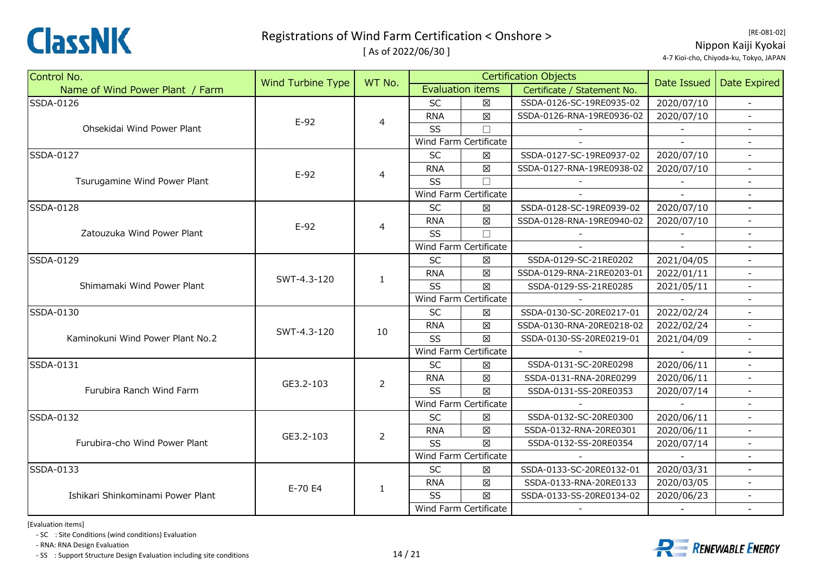

[ As of 2022/06/30 ]

[RE‐081‐02] Nippon Kaiji Kyokai 4‐7 Kioi‐cho, Chiyoda‐ku, Tokyo, JAPAN

| Control No.                       |                          | WT No.                                                                                          |            |                         | <b>Certification Objects</b> |                                                                                                                            |                          |
|-----------------------------------|--------------------------|-------------------------------------------------------------------------------------------------|------------|-------------------------|------------------------------|----------------------------------------------------------------------------------------------------------------------------|--------------------------|
| Name of Wind Power Plant / Farm   | <b>Wind Turbine Type</b> |                                                                                                 |            | <b>Evaluation items</b> | Certificate / Statement No.  | Date Issued                                                                                                                | <b>Date Expired</b>      |
| SSDA-0126                         |                          |                                                                                                 | SC         | 区                       | SSDA-0126-SC-19RE0935-02     | 2020/07/10                                                                                                                 |                          |
|                                   | $E-92$                   |                                                                                                 | <b>RNA</b> | $\boxtimes$             | SSDA-0126-RNA-19RE0936-02    | 2020/07/10                                                                                                                 |                          |
| Ohsekidai Wind Power Plant        |                          |                                                                                                 | SS         | $\Box$                  |                              |                                                                                                                            |                          |
|                                   |                          | $\overline{4}$<br>4<br>$\overline{4}$<br>$\mathbf{1}$<br>10<br>$\overline{2}$<br>$\overline{2}$ |            | Wind Farm Certificate   |                              |                                                                                                                            |                          |
| SSDA-0127                         |                          |                                                                                                 | SC         | $\boxtimes$             | SSDA-0127-SC-19RE0937-02     | 2020/07/10                                                                                                                 | $\blacksquare$           |
|                                   | $E-92$                   |                                                                                                 | <b>RNA</b> | $\boxtimes$             | SSDA-0127-RNA-19RE0938-02    | 2020/07/10                                                                                                                 |                          |
| Tsurugamine Wind Power Plant      |                          |                                                                                                 | SS         | $\Box$                  |                              |                                                                                                                            |                          |
|                                   |                          |                                                                                                 |            | Wind Farm Certificate   |                              |                                                                                                                            |                          |
| SSDA-0128                         |                          |                                                                                                 | SC         | ⊠                       | SSDA-0128-SC-19RE0939-02     | 2020/07/10                                                                                                                 |                          |
|                                   | $E-92$                   |                                                                                                 | <b>RNA</b> | $\boxtimes$             | SSDA-0128-RNA-19RE0940-02    | 2020/07/10                                                                                                                 | $\overline{\phantom{a}}$ |
| Zatouzuka Wind Power Plant        |                          |                                                                                                 | SS         | $\Box$                  |                              |                                                                                                                            |                          |
|                                   |                          |                                                                                                 |            | Wind Farm Certificate   |                              |                                                                                                                            |                          |
| SSDA-0129                         |                          |                                                                                                 | SC         | $\boxtimes$             | SSDA-0129-SC-21RE0202        | 2021/04/05                                                                                                                 |                          |
|                                   | SWT-4.3-120              |                                                                                                 | <b>RNA</b> | 区                       | SSDA-0129-RNA-21RE0203-01    | 2022/01/11                                                                                                                 |                          |
| Shimamaki Wind Power Plant        |                          |                                                                                                 | SS         | X                       | SSDA-0129-SS-21RE0285        | 2021/05/11                                                                                                                 | $\overline{\phantom{a}}$ |
|                                   |                          |                                                                                                 |            | Wind Farm Certificate   |                              |                                                                                                                            |                          |
| SSDA-0130                         |                          |                                                                                                 | <b>SC</b>  | 区                       | SSDA-0130-SC-20RE0217-01     | 2022/02/24                                                                                                                 |                          |
|                                   |                          |                                                                                                 | <b>RNA</b> | $\boxtimes$             | SSDA-0130-RNA-20RE0218-02    | 2022/02/24                                                                                                                 |                          |
| Kaminokuni Wind Power Plant No.2  | SWT-4.3-120              |                                                                                                 | SS         | $\boxtimes$             | SSDA-0130-SS-20RE0219-01     | 2021/04/09                                                                                                                 |                          |
|                                   |                          |                                                                                                 |            | Wind Farm Certificate   |                              | 2020/06/11<br>2020/06/11<br>2020/07/14<br>2020/06/11<br>2020/06/11<br>2020/07/14<br>2020/03/31<br>2020/03/05<br>2020/06/23 |                          |
| SSDA-0131                         |                          |                                                                                                 | <b>SC</b>  | $\boxtimes$             | SSDA-0131-SC-20RE0298        |                                                                                                                            | $\omega$                 |
|                                   | GE3.2-103                |                                                                                                 | <b>RNA</b> | $\boxtimes$             | SSDA-0131-RNA-20RE0299       |                                                                                                                            |                          |
| Furubira Ranch Wind Farm          |                          |                                                                                                 | SS         | $\boxtimes$             | SSDA-0131-SS-20RE0353        |                                                                                                                            | $\blacksquare$           |
|                                   |                          |                                                                                                 |            | Wind Farm Certificate   |                              |                                                                                                                            |                          |
| SSDA-0132                         |                          |                                                                                                 | <b>SC</b>  | 区                       | SSDA-0132-SC-20RE0300        |                                                                                                                            | $\blacksquare$           |
|                                   | GE3.2-103                |                                                                                                 | <b>RNA</b> | $\boxtimes$             | SSDA-0132-RNA-20RE0301       |                                                                                                                            | $\overline{a}$           |
| Furubira-cho Wind Power Plant     |                          |                                                                                                 | SS         | X                       | SSDA-0132-SS-20RE0354        |                                                                                                                            |                          |
|                                   |                          |                                                                                                 |            | Wind Farm Certificate   |                              |                                                                                                                            |                          |
| SSDA-0133                         |                          |                                                                                                 | <b>SC</b>  | X                       | SSDA-0133-SC-20RE0132-01     |                                                                                                                            |                          |
|                                   | E-70 E4                  |                                                                                                 | <b>RNA</b> | $\boxtimes$             | SSDA-0133-RNA-20RE0133       |                                                                                                                            |                          |
| Ishikari Shinkominami Power Plant |                          | 1                                                                                               | SS         | 区                       | SSDA-0133-SS-20RE0134-02     |                                                                                                                            |                          |
|                                   |                          |                                                                                                 |            | Wind Farm Certificate   |                              |                                                                                                                            | $\sim$                   |

[Evaluation items]

‐ SC : Site Conditions (wind conditions) Evaluation

‐ RNA: RNA Design Evaluation

‐ SS : Support Structure Design Evaluation including site conditions 14 / 21

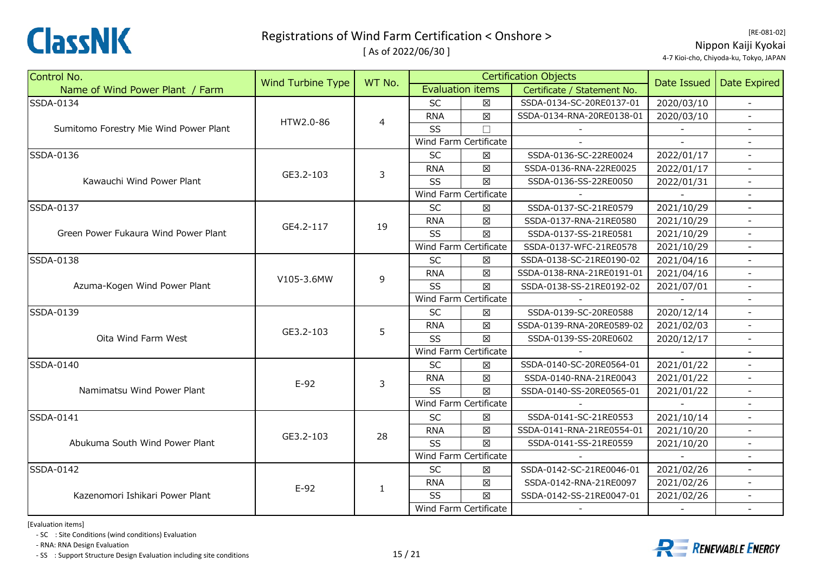

[ As of 2022/06/30 ]

[RE‐081‐02] Nippon Kaiji Kyokai 4‐7 Kioi‐cho, Chiyoda‐ku, Tokyo, JAPAN

| Control No.                            | <b>Wind Turbine Type</b> | WT No.         |            |                         | <b>Certification Objects</b> | Date Issued | <b>Date Expired</b>      |
|----------------------------------------|--------------------------|----------------|------------|-------------------------|------------------------------|-------------|--------------------------|
| Name of Wind Power Plant / Farm        |                          |                |            | <b>Evaluation items</b> | Certificate / Statement No.  |             |                          |
| SSDA-0134                              |                          |                | <b>SC</b>  | 図                       | SSDA-0134-SC-20RE0137-01     | 2020/03/10  |                          |
|                                        | HTW2.0-86                | $\overline{4}$ | <b>RNA</b> | $\boxtimes$             | SSDA-0134-RNA-20RE0138-01    | 2020/03/10  |                          |
| Sumitomo Forestry Mie Wind Power Plant |                          |                | SS         | $\Box$                  |                              |             |                          |
|                                        |                          |                |            | Wind Farm Certificate   |                              |             |                          |
| SSDA-0136                              |                          |                | SC         | X                       | SSDA-0136-SC-22RE0024        | 2022/01/17  | $\sim$                   |
|                                        | GE3.2-103                | 3              | <b>RNA</b> | 区                       | SSDA-0136-RNA-22RE0025       | 2022/01/17  | $\overline{a}$           |
| Kawauchi Wind Power Plant              |                          |                | SS         | 図                       | SSDA-0136-SS-22RE0050        | 2022/01/31  |                          |
|                                        |                          |                |            | Wind Farm Certificate   |                              |             |                          |
| SSDA-0137                              |                          |                | <b>SC</b>  | ⊠                       | SSDA-0137-SC-21RE0579        | 2021/10/29  |                          |
|                                        | GE4.2-117                | 19             | <b>RNA</b> | $\boxtimes$             | SSDA-0137-RNA-21RE0580       | 2021/10/29  | $\blacksquare$           |
| Green Power Fukaura Wind Power Plant   |                          |                | SS         | 図                       | SSDA-0137-SS-21RE0581        | 2021/10/29  | $\mathbf{r}$             |
|                                        |                          |                |            | Wind Farm Certificate   | SSDA-0137-WFC-21RE0578       | 2021/10/29  |                          |
| SSDA-0138                              |                          |                | <b>SC</b>  | 図                       | SSDA-0138-SC-21RE0190-02     | 2021/04/16  | $\equiv$                 |
| Azuma-Kogen Wind Power Plant           | V105-3.6MW               | 9              | <b>RNA</b> | 区                       | SSDA-0138-RNA-21RE0191-01    | 2021/04/16  |                          |
|                                        |                          |                | <b>SS</b>  | 冈                       | SSDA-0138-SS-21RE0192-02     | 2021/07/01  |                          |
|                                        |                          |                |            | Wind Farm Certificate   |                              |             |                          |
| SSDA-0139                              |                          | 5              | <b>SC</b>  | 冈                       | SSDA-0139-SC-20RE0588        | 2020/12/14  |                          |
|                                        |                          |                | <b>RNA</b> | $\boxtimes$             | SSDA-0139-RNA-20RE0589-02    | 2021/02/03  |                          |
| Oita Wind Farm West                    | GE3.2-103                |                | SS         | 図                       | SSDA-0139-SS-20RE0602        | 2020/12/17  | $\blacksquare$           |
|                                        |                          |                |            | Wind Farm Certificate   |                              |             |                          |
| SSDA-0140                              |                          |                | SC         | 区                       | SSDA-0140-SC-20RE0564-01     | 2021/01/22  | $\overline{a}$           |
|                                        | $E-92$                   | 3              | <b>RNA</b> | 図                       | SSDA-0140-RNA-21RE0043       | 2021/01/22  |                          |
| Namimatsu Wind Power Plant             |                          |                | SS         | $\boxtimes$             | SSDA-0140-SS-20RE0565-01     | 2021/01/22  | $\overline{\phantom{a}}$ |
|                                        |                          |                |            | Wind Farm Certificate   |                              |             |                          |
| SSDA-0141                              |                          |                | <b>SC</b>  | 区                       | SSDA-0141-SC-21RE0553        | 2021/10/14  |                          |
|                                        | GE3.2-103                | 28             | <b>RNA</b> | $\boxtimes$             | SSDA-0141-RNA-21RE0554-01    | 2021/10/20  | $\sim$                   |
| Abukuma South Wind Power Plant         |                          |                | SS         | 区                       | SSDA-0141-SS-21RE0559        | 2021/10/20  |                          |
|                                        |                          |                |            | Wind Farm Certificate   |                              |             |                          |
| SSDA-0142                              |                          |                | SC         | $\boxtimes$             | SSDA-0142-SC-21RE0046-01     | 2021/02/26  |                          |
|                                        | $E-92$                   | $\mathbf{1}$   | <b>RNA</b> | 区                       | SSDA-0142-RNA-21RE0097       | 2021/02/26  |                          |
| Kazenomori Ishikari Power Plant        |                          |                | SS         | 区                       | SSDA-0142-SS-21RE0047-01     | 2021/02/26  | $\overline{\phantom{a}}$ |
|                                        |                          |                |            | Wind Farm Certificate   |                              |             | $\blacksquare$           |

[Evaluation items]

‐ SC : Site Conditions (wind conditions) Evaluation

‐ RNA: RNA Design Evaluation

‐ SS : Support Structure Design Evaluation including site conditions 15 / 21



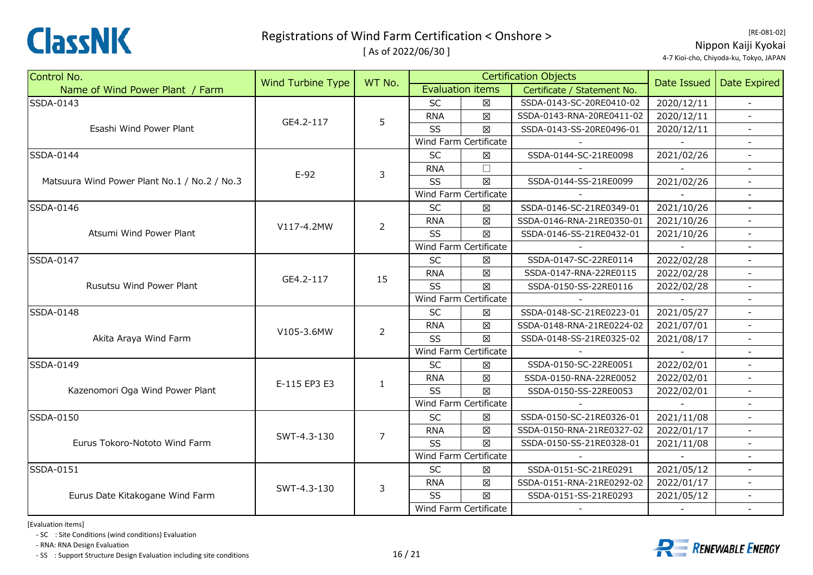

[ As of 2022/06/30 ]

[RE‐081‐02] Nippon Kaiji Kyokai 4‐7 Kioi‐cho, Chiyoda‐ku, Tokyo, JAPAN

| Control No.                                  | Wind Turbine Type | WT No.         |            |                       | <b>Certification Objects</b> | Date Issued                                                                                                                | Date Expired             |
|----------------------------------------------|-------------------|----------------|------------|-----------------------|------------------------------|----------------------------------------------------------------------------------------------------------------------------|--------------------------|
| Name of Wind Power Plant / Farm              |                   |                |            | Evaluation items      | Certificate / Statement No.  |                                                                                                                            |                          |
| SSDA-0143                                    |                   |                | SC         | $\boxtimes$           | SSDA-0143-SC-20RE0410-02     | 2020/12/11                                                                                                                 | $\sim$                   |
|                                              | GE4.2-117         | 5              | <b>RNA</b> | $\boxtimes$           | SSDA-0143-RNA-20RE0411-02    | 2020/12/11                                                                                                                 |                          |
| Esashi Wind Power Plant                      |                   |                | SS         | $\boxtimes$           | SSDA-0143-SS-20RE0496-01     | 2020/12/11                                                                                                                 |                          |
|                                              |                   |                |            | Wind Farm Certificate |                              |                                                                                                                            |                          |
| <b>SSDA-0144</b>                             |                   |                | SC         | $\boxtimes$           | SSDA-0144-SC-21RE0098        | 2021/02/26                                                                                                                 | $\overline{\phantom{a}}$ |
|                                              | $E-92$            | 3              | <b>RNA</b> | $\Box$                |                              |                                                                                                                            | $\blacksquare$           |
| Matsuura Wind Power Plant No.1 / No.2 / No.3 |                   |                | SS         | $\boxtimes$           | SSDA-0144-SS-21RE0099        | 2021/02/26                                                                                                                 |                          |
|                                              |                   |                |            | Wind Farm Certificate |                              |                                                                                                                            |                          |
| SSDA-0146                                    |                   |                | <b>SC</b>  | ⊠                     | SSDA-0146-SC-21RE0349-01     | 2021/10/26                                                                                                                 |                          |
|                                              | V117-4.2MW        | $\overline{2}$ | <b>RNA</b> | $\boxtimes$           | SSDA-0146-RNA-21RE0350-01    | 2021/10/26                                                                                                                 | $\blacksquare$           |
| Atsumi Wind Power Plant                      |                   |                | SS         | $\boxtimes$           | SSDA-0146-SS-21RE0432-01     | 2021/10/26                                                                                                                 | $\blacksquare$           |
|                                              |                   |                |            | Wind Farm Certificate |                              |                                                                                                                            |                          |
| SSDA-0147                                    |                   |                | SC         | X                     | SSDA-0147-SC-22RE0114        | 2022/02/28                                                                                                                 | $\equiv$                 |
| Rusutsu Wind Power Plant                     | GE4.2-117         | 15             | <b>RNA</b> | $\boxtimes$           | SSDA-0147-RNA-22RE0115       | 2022/02/28                                                                                                                 |                          |
|                                              |                   |                | SS         | $\boxtimes$           | SSDA-0150-SS-22RE0116        | 2022/02/28                                                                                                                 | $\overline{\phantom{a}}$ |
|                                              |                   |                |            | Wind Farm Certificate |                              |                                                                                                                            | $\blacksquare$           |
| <b>SSDA-0148</b>                             |                   |                | <b>SC</b>  | $\boxtimes$           | SSDA-0148-SC-21RE0223-01     | 2021/05/27                                                                                                                 |                          |
|                                              |                   | $\overline{2}$ | <b>RNA</b> | $\boxtimes$           | SSDA-0148-RNA-21RE0224-02    | 2021/07/01                                                                                                                 | $\overline{\phantom{a}}$ |
| Akita Araya Wind Farm                        | V105-3.6MW        |                | SS         | $\boxtimes$           | SSDA-0148-SS-21RE0325-02     | 2021/08/17                                                                                                                 |                          |
|                                              |                   |                |            | Wind Farm Certificate |                              | 2022/02/01<br>2022/02/01<br>2022/02/01<br>2021/11/08<br>2022/01/17<br>2021/11/08<br>2021/05/12<br>2022/01/17<br>2021/05/12 |                          |
| SSDA-0149                                    |                   |                | <b>SC</b>  | X                     | SSDA-0150-SC-22RE0051        |                                                                                                                            | $\blacksquare$           |
|                                              | E-115 EP3 E3      | $\mathbf{1}$   | <b>RNA</b> | X                     | SSDA-0150-RNA-22RE0052       |                                                                                                                            |                          |
| Kazenomori Oga Wind Power Plant              |                   |                | SS         | $\boxtimes$           | SSDA-0150-SS-22RE0053        |                                                                                                                            |                          |
|                                              |                   |                |            | Wind Farm Certificate |                              |                                                                                                                            |                          |
| SSDA-0150                                    |                   |                | SC         | X                     | SSDA-0150-SC-21RE0326-01     |                                                                                                                            | $\blacksquare$           |
|                                              | SWT-4.3-130       | 7              | <b>RNA</b> | $\boxtimes$           | SSDA-0150-RNA-21RE0327-02    |                                                                                                                            | $\overline{\phantom{a}}$ |
| Eurus Tokoro-Nototo Wind Farm                |                   |                | SS         | $\boxtimes$           | SSDA-0150-SS-21RE0328-01     |                                                                                                                            | $\overline{\phantom{a}}$ |
|                                              |                   |                |            | Wind Farm Certificate |                              |                                                                                                                            |                          |
| SSDA-0151                                    |                   |                | SC         | $\boxtimes$           | SSDA-0151-SC-21RE0291        |                                                                                                                            |                          |
|                                              | SWT-4.3-130       |                | <b>RNA</b> | $\boxtimes$           | SSDA-0151-RNA-21RE0292-02    |                                                                                                                            |                          |
| Eurus Date Kitakogane Wind Farm              |                   | 3              | SS         | $\boxtimes$           | SSDA-0151-SS-21RE0293        |                                                                                                                            | $\overline{\phantom{a}}$ |
|                                              |                   |                |            | Wind Farm Certificate |                              |                                                                                                                            | $\sim$                   |

[Evaluation items]

‐ SC : Site Conditions (wind conditions) Evaluation

‐ RNA: RNA Design Evaluation

‐ SS : Support Structure Design Evaluation including site conditions 16 / 21



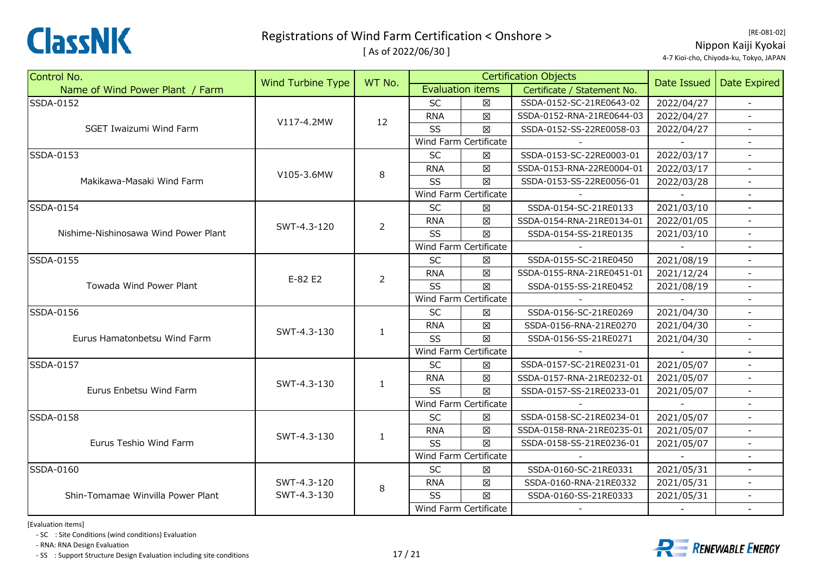

[ As of 2022/06/30 ]

[RE‐081‐02] Nippon Kaiji Kyokai 4‐7 Kioi‐cho, Chiyoda‐ku, Tokyo, JAPAN

| Control No.                          | <b>Wind Turbine Type</b> | WT No.         |            |                         | <b>Certification Objects</b> | Date Issued | <b>Date Expired</b>      |
|--------------------------------------|--------------------------|----------------|------------|-------------------------|------------------------------|-------------|--------------------------|
| Name of Wind Power Plant / Farm      |                          |                |            | <b>Evaluation items</b> | Certificate / Statement No.  |             |                          |
| SSDA-0152                            |                          |                | <b>SC</b>  | $\boxtimes$             | SSDA-0152-SC-21RE0643-02     | 2022/04/27  |                          |
|                                      | V117-4.2MW               | 12             | <b>RNA</b> | 区                       | SSDA-0152-RNA-21RE0644-03    | 2022/04/27  |                          |
| SGET Iwaizumi Wind Farm              |                          |                | SS         | $\boxtimes$             | SSDA-0152-SS-22RE0058-03     | 2022/04/27  |                          |
|                                      |                          |                |            | Wind Farm Certificate   |                              |             |                          |
| <b>SSDA-0153</b>                     |                          |                | SC         | X                       | SSDA-0153-SC-22RE0003-01     | 2022/03/17  | $\sim$                   |
|                                      | V105-3.6MW               | $\,8\,$        | <b>RNA</b> | 区                       | SSDA-0153-RNA-22RE0004-01    | 2022/03/17  |                          |
| Makikawa-Masaki Wind Farm            |                          |                | SS         | X                       | SSDA-0153-SS-22RE0056-01     | 2022/03/28  |                          |
|                                      |                          |                |            | Wind Farm Certificate   |                              |             |                          |
| SSDA-0154                            |                          |                | <b>SC</b>  | X                       | SSDA-0154-SC-21RE0133        | 2021/03/10  |                          |
|                                      | SWT-4.3-120              | 2              | <b>RNA</b> | X                       | SSDA-0154-RNA-21RE0134-01    | 2022/01/05  |                          |
| Nishime-Nishinosawa Wind Power Plant |                          |                | SS         | 区                       | SSDA-0154-SS-21RE0135        | 2021/03/10  | $\blacksquare$           |
|                                      |                          |                |            | Wind Farm Certificate   |                              |             |                          |
| SSDA-0155                            | E-82 E2                  |                | SC         | $\boxtimes$             | SSDA-0155-SC-21RE0450        | 2021/08/19  | $\equiv$                 |
| Towada Wind Power Plant              |                          | $\overline{2}$ | <b>RNA</b> | $\boxtimes$             | SSDA-0155-RNA-21RE0451-01    | 2021/12/24  |                          |
|                                      |                          |                | SS         | X                       | SSDA-0155-SS-21RE0452        | 2021/08/19  | $\overline{\phantom{a}}$ |
|                                      |                          |                |            | Wind Farm Certificate   |                              |             |                          |
| SSDA-0156                            |                          | 1              | SC         | X                       | SSDA-0156-SC-21RE0269        | 2021/04/30  |                          |
|                                      | SWT-4.3-130              |                | <b>RNA</b> | $\boxtimes$             | SSDA-0156-RNA-21RE0270       | 2021/04/30  |                          |
| Eurus Hamatonbetsu Wind Farm         |                          |                | SS         | 区                       | SSDA-0156-SS-21RE0271        | 2021/04/30  |                          |
|                                      |                          |                |            | Wind Farm Certificate   |                              |             |                          |
| SSDA-0157                            |                          |                | SC         | X                       | SSDA-0157-SC-21RE0231-01     | 2021/05/07  | $\overline{\phantom{a}}$ |
|                                      | SWT-4.3-130              | $\mathbf{1}$   | <b>RNA</b> | 区                       | SSDA-0157-RNA-21RE0232-01    | 2021/05/07  |                          |
| Eurus Enbetsu Wind Farm              |                          |                | <b>SS</b>  | 区                       | SSDA-0157-SS-21RE0233-01     | 2021/05/07  |                          |
|                                      |                          |                |            | Wind Farm Certificate   |                              |             |                          |
| <b>SSDA-0158</b>                     |                          |                | <b>SC</b>  | 区                       | SSDA-0158-SC-21RE0234-01     | 2021/05/07  |                          |
|                                      | SWT-4.3-130              | $\mathbf{1}$   | <b>RNA</b> | $\boxtimes$             | SSDA-0158-RNA-21RE0235-01    | 2021/05/07  | $\overline{\phantom{a}}$ |
| Eurus Teshio Wind Farm               |                          |                | SS         | X                       | SSDA-0158-SS-21RE0236-01     | 2021/05/07  |                          |
|                                      |                          |                |            | Wind Farm Certificate   |                              |             |                          |
| SSDA-0160                            |                          |                | SC         | $\boxtimes$             | SSDA-0160-SC-21RE0331        | 2021/05/31  |                          |
|                                      | SWT-4.3-120              | 8              | <b>RNA</b> | $\boxtimes$             | SSDA-0160-RNA-21RE0332       | 2021/05/31  |                          |
| Shin-Tomamae Winvilla Power Plant    | SWT-4.3-130              |                | SS         | X                       | SSDA-0160-SS-21RE0333        | 2021/05/31  | $\overline{\phantom{a}}$ |
|                                      |                          |                |            | Wind Farm Certificate   |                              |             | $\blacksquare$           |

[Evaluation items]

‐ SC : Site Conditions (wind conditions) Evaluation

‐ RNA: RNA Design Evaluation

‐ SS : Support Structure Design Evaluation including site conditions 17 / 21



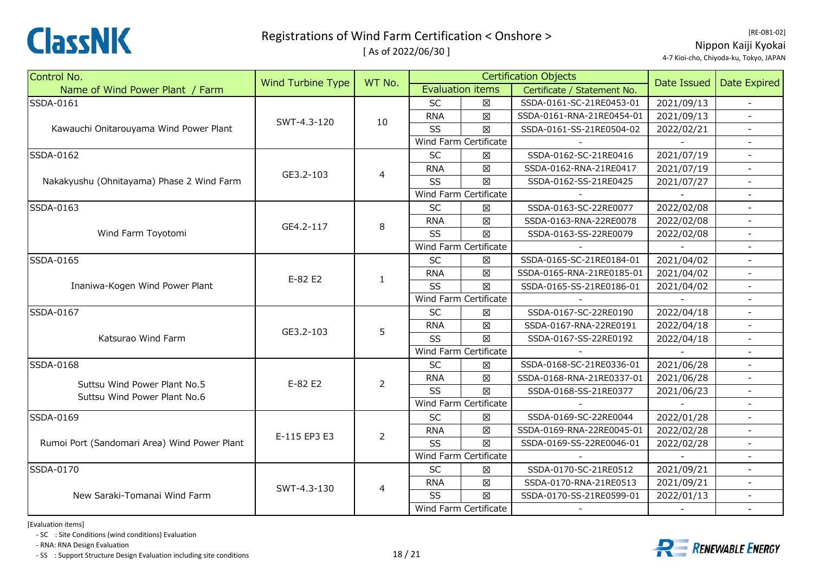

[ As of 2022/06/30 ]

[RE‐081‐02] Nippon Kaiji Kyokai 4‐7 Kioi‐cho, Chiyoda‐ku, Tokyo, JAPAN

| Control No.                                  | Wind Turbine Type | WT No.         |            |                         | <b>Certification Objects</b> | Date Issued | <b>Date Expired</b>      |
|----------------------------------------------|-------------------|----------------|------------|-------------------------|------------------------------|-------------|--------------------------|
| Name of Wind Power Plant / Farm              |                   |                |            | <b>Evaluation items</b> | Certificate / Statement No.  |             |                          |
| SSDA-0161                                    |                   |                | SC         | 区                       | SSDA-0161-SC-21RE0453-01     | 2021/09/13  |                          |
| Kawauchi Onitarouyama Wind Power Plant       | SWT-4.3-120       | 10             | <b>RNA</b> | $\boxtimes$             | SSDA-0161-RNA-21RE0454-01    | 2021/09/13  |                          |
|                                              |                   |                | SS         | $\boxtimes$             | SSDA-0161-SS-21RE0504-02     | 2022/02/21  |                          |
|                                              |                   |                |            | Wind Farm Certificate   |                              |             |                          |
| SSDA-0162                                    |                   |                | SC         | $\boxtimes$             | SSDA-0162-SC-21RE0416        | 2021/07/19  | $\blacksquare$           |
|                                              | GE3.2-103         | 4              | <b>RNA</b> | $\boxtimes$             | SSDA-0162-RNA-21RE0417       | 2021/07/19  |                          |
| Nakakyushu (Ohnitayama) Phase 2 Wind Farm    |                   |                | SS         | $\boxtimes$             | SSDA-0162-SS-21RE0425        | 2021/07/27  |                          |
|                                              |                   |                |            | Wind Farm Certificate   |                              |             |                          |
| SSDA-0163                                    |                   |                | <b>SC</b>  | ⊠                       | SSDA-0163-SC-22RE0077        | 2022/02/08  |                          |
|                                              | GE4.2-117         | 8              | <b>RNA</b> | $\boxtimes$             | SSDA-0163-RNA-22RE0078       | 2022/02/08  | $\blacksquare$           |
| Wind Farm Toyotomi                           |                   |                | SS         | $\boxtimes$             | SSDA-0163-SS-22RE0079        | 2022/02/08  | $\overline{a}$           |
|                                              |                   |                |            | Wind Farm Certificate   |                              |             |                          |
| SSDA-0165                                    |                   |                | <b>SC</b>  | $\boxtimes$             | SSDA-0165-SC-21RE0184-01     | 2021/04/02  |                          |
|                                              | E-82 E2           | $\mathbf{1}$   | <b>RNA</b> | $\boxtimes$             | SSDA-0165-RNA-21RE0185-01    | 2021/04/02  |                          |
| Inaniwa-Kogen Wind Power Plant               |                   |                | SS         | $\boxtimes$             | SSDA-0165-SS-21RE0186-01     | 2021/04/02  | $\overline{\phantom{a}}$ |
|                                              |                   |                |            | Wind Farm Certificate   |                              |             |                          |
| SSDA-0167                                    |                   | 5              | SC         | $\boxtimes$             | SSDA-0167-SC-22RE0190        | 2022/04/18  |                          |
|                                              | GE3.2-103         |                | <b>RNA</b> | $\boxtimes$             | SSDA-0167-RNA-22RE0191       | 2022/04/18  |                          |
| Katsurao Wind Farm                           |                   |                | SS         | $\boxtimes$             | SSDA-0167-SS-22RE0192        | 2022/04/18  |                          |
|                                              |                   |                |            | Wind Farm Certificate   |                              |             |                          |
| SSDA-0168                                    |                   |                | <b>SC</b>  | $\boxtimes$             | SSDA-0168-SC-21RE0336-01     | 2021/06/28  | $\equiv$                 |
| Suttsu Wind Power Plant No.5                 | E-82 E2           | 2              | <b>RNA</b> | $\boxtimes$             | SSDA-0168-RNA-21RE0337-01    | 2021/06/28  |                          |
| Suttsu Wind Power Plant No.6                 |                   |                | SS         | $\boxtimes$             | SSDA-0168-SS-21RE0377        | 2021/06/23  | $\overline{\phantom{a}}$ |
|                                              |                   |                |            | Wind Farm Certificate   |                              |             |                          |
| SSDA-0169                                    |                   |                | SC         | $\boxtimes$             | SSDA-0169-SC-22RE0044        | 2022/01/28  |                          |
|                                              | E-115 EP3 E3      | $\overline{2}$ | <b>RNA</b> | $\boxtimes$             | SSDA-0169-RNA-22RE0045-01    | 2022/02/28  | $\blacksquare$           |
| Rumoi Port (Sandomari Area) Wind Power Plant |                   |                | SS         | 区                       | SSDA-0169-SS-22RE0046-01     | 2022/02/28  |                          |
|                                              |                   |                |            | Wind Farm Certificate   |                              |             |                          |
| SSDA-0170                                    |                   |                | <b>SC</b>  | 区                       | SSDA-0170-SC-21RE0512        | 2021/09/21  |                          |
|                                              | SWT-4.3-130       |                | <b>RNA</b> | $\boxtimes$             | SSDA-0170-RNA-21RE0513       | 2021/09/21  |                          |
| New Saraki-Tomanai Wind Farm                 |                   | $\overline{4}$ | SS         | $\boxtimes$             | SSDA-0170-SS-21RE0599-01     | 2022/01/13  | $\overline{\phantom{a}}$ |
|                                              |                   |                |            | Wind Farm Certificate   |                              |             | $\overline{\phantom{a}}$ |

[Evaluation items]

‐ SC : Site Conditions (wind conditions) Evaluation

‐ RNA: RNA Design Evaluation

‐ SS : Support Structure Design Evaluation including site conditions 18 / 21



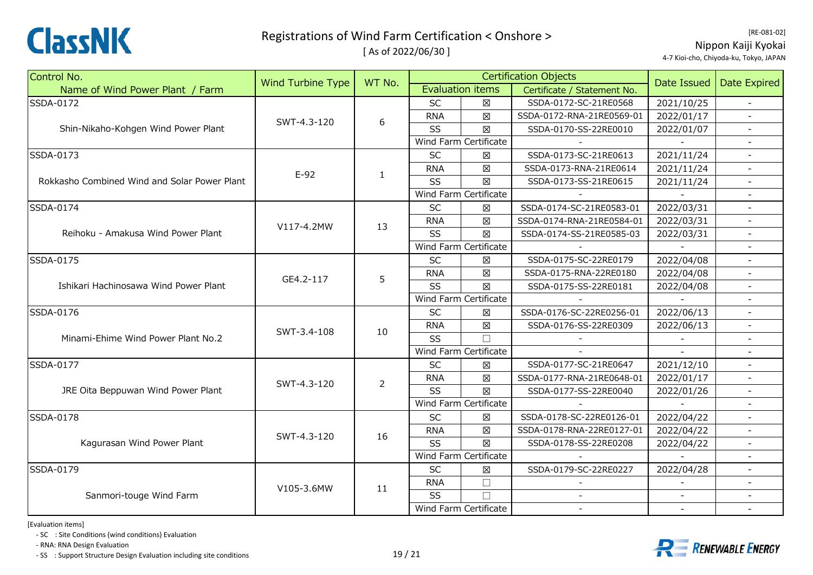

[ As of 2022/06/30 ]

[RE‐081‐02] Nippon Kaiji Kyokai 4‐7 Kioi‐cho, Chiyoda‐ku, Tokyo, JAPAN

| Control No.                                  | <b>Wind Turbine Type</b> | WT No.       |            | <b>Certification Objects</b> |                             |                                                                                                                                                                                                  | Date Expired             |
|----------------------------------------------|--------------------------|--------------|------------|------------------------------|-----------------------------|--------------------------------------------------------------------------------------------------------------------------------------------------------------------------------------------------|--------------------------|
| Name of Wind Power Plant / Farm              |                          |              |            | <b>Evaluation items</b>      | Certificate / Statement No. | Date Issued                                                                                                                                                                                      |                          |
| SSDA-0172                                    |                          |              | <b>SC</b>  | 区                            | SSDA-0172-SC-21RE0568       | 2021/10/25                                                                                                                                                                                       | $\blacksquare$           |
|                                              | SWT-4.3-120              | 6            | <b>RNA</b> | 図                            | SSDA-0172-RNA-21RE0569-01   | 2022/01/17                                                                                                                                                                                       |                          |
| Shin-Nikaho-Kohgen Wind Power Plant          |                          |              | SS         | 区                            | SSDA-0170-SS-22RE0010       | 2022/01/07                                                                                                                                                                                       |                          |
|                                              |                          |              |            | Wind Farm Certificate        |                             | 2021/11/24<br>2021/11/24<br>2021/11/24<br>2022/03/31<br>2022/03/31<br>2022/03/31<br>2022/04/08<br>2022/04/08<br>2022/04/08<br>2022/06/13<br>2022/06/13<br>2021/12/10<br>2022/01/17<br>2022/01/26 |                          |
| SSDA-0173                                    |                          |              | SC         | $\boxtimes$                  | SSDA-0173-SC-21RE0613       |                                                                                                                                                                                                  | $\equiv$                 |
|                                              | $E-92$                   | $\mathbf{1}$ | <b>RNA</b> | $\boxtimes$                  | SSDA-0173-RNA-21RE0614      |                                                                                                                                                                                                  | $\blacksquare$           |
| Rokkasho Combined Wind and Solar Power Plant |                          |              | SS         | $\boxtimes$                  | SSDA-0173-SS-21RE0615       |                                                                                                                                                                                                  |                          |
|                                              |                          |              |            | Wind Farm Certificate        |                             |                                                                                                                                                                                                  |                          |
| SSDA-0174                                    |                          |              | SC         | $\boxtimes$                  | SSDA-0174-SC-21RE0583-01    |                                                                                                                                                                                                  |                          |
|                                              | V117-4.2MW               | 13           | <b>RNA</b> | $\boxtimes$                  | SSDA-0174-RNA-21RE0584-01   |                                                                                                                                                                                                  |                          |
| Reihoku - Amakusa Wind Power Plant           |                          |              | SS         | $\boxtimes$                  | SSDA-0174-SS-21RE0585-03    |                                                                                                                                                                                                  | $\blacksquare$           |
|                                              |                          |              |            | Wind Farm Certificate        |                             |                                                                                                                                                                                                  |                          |
| SSDA-0175                                    |                          | 5            | SC         | 図                            | SSDA-0175-SC-22RE0179       |                                                                                                                                                                                                  |                          |
|                                              | GE4.2-117                |              | <b>RNA</b> | $\boxtimes$                  | SSDA-0175-RNA-22RE0180      |                                                                                                                                                                                                  |                          |
| Ishikari Hachinosawa Wind Power Plant        |                          |              | SS         | $\boxtimes$                  | SSDA-0175-SS-22RE0181       |                                                                                                                                                                                                  | $\blacksquare$           |
|                                              |                          |              |            | Wind Farm Certificate        |                             |                                                                                                                                                                                                  | $\overline{a}$           |
| SSDA-0176                                    |                          |              | <b>SC</b>  | 区                            | SSDA-0176-SC-22RE0256-01    |                                                                                                                                                                                                  |                          |
|                                              | SWT-3.4-108              | 10           | <b>RNA</b> | $\boxtimes$                  | SSDA-0176-SS-22RE0309       |                                                                                                                                                                                                  |                          |
| Minami-Ehime Wind Power Plant No.2           |                          |              | SS         | $\Box$                       |                             |                                                                                                                                                                                                  |                          |
|                                              |                          |              |            | Wind Farm Certificate        |                             |                                                                                                                                                                                                  |                          |
| SSDA-0177                                    |                          |              | <b>SC</b>  | $\boxtimes$                  | SSDA-0177-SC-21RE0647       |                                                                                                                                                                                                  | $\blacksquare$           |
|                                              | SWT-4.3-120              | 2            | <b>RNA</b> | $\boxtimes$                  | SSDA-0177-RNA-21RE0648-01   |                                                                                                                                                                                                  |                          |
| JRE Oita Beppuwan Wind Power Plant           |                          |              | SS         | 区                            | SSDA-0177-SS-22RE0040       |                                                                                                                                                                                                  |                          |
|                                              |                          |              |            | Wind Farm Certificate        |                             |                                                                                                                                                                                                  |                          |
| SSDA-0178                                    |                          |              | <b>SC</b>  | $\boxtimes$                  | SSDA-0178-SC-22RE0126-01    | 2022/04/22                                                                                                                                                                                       |                          |
|                                              | SWT-4.3-120              | 16           | <b>RNA</b> | $\boxtimes$                  | SSDA-0178-RNA-22RE0127-01   | 2022/04/22                                                                                                                                                                                       | $\overline{\phantom{a}}$ |
| Kagurasan Wind Power Plant                   |                          |              | SS         | $\boxtimes$                  | SSDA-0178-SS-22RE0208       | 2022/04/22                                                                                                                                                                                       |                          |
|                                              |                          |              |            | Wind Farm Certificate        |                             |                                                                                                                                                                                                  |                          |
| SSDA-0179                                    |                          |              | <b>SC</b>  | $\boxtimes$                  | SSDA-0179-SC-22RE0227       | 2022/04/28                                                                                                                                                                                       |                          |
|                                              | V105-3.6MW               | 11           | <b>RNA</b> | $\Box$                       |                             |                                                                                                                                                                                                  |                          |
| Sanmori-touge Wind Farm                      |                          |              | SS         | $\Box$                       |                             |                                                                                                                                                                                                  | $\overline{\phantom{a}}$ |
|                                              |                          |              |            | Wind Farm Certificate        |                             |                                                                                                                                                                                                  |                          |

[Evaluation items]

‐ SC : Site Conditions (wind conditions) Evaluation

‐ RNA: RNA Design Evaluation

‐ SS : Support Structure Design Evaluation including site conditions 19 / 21



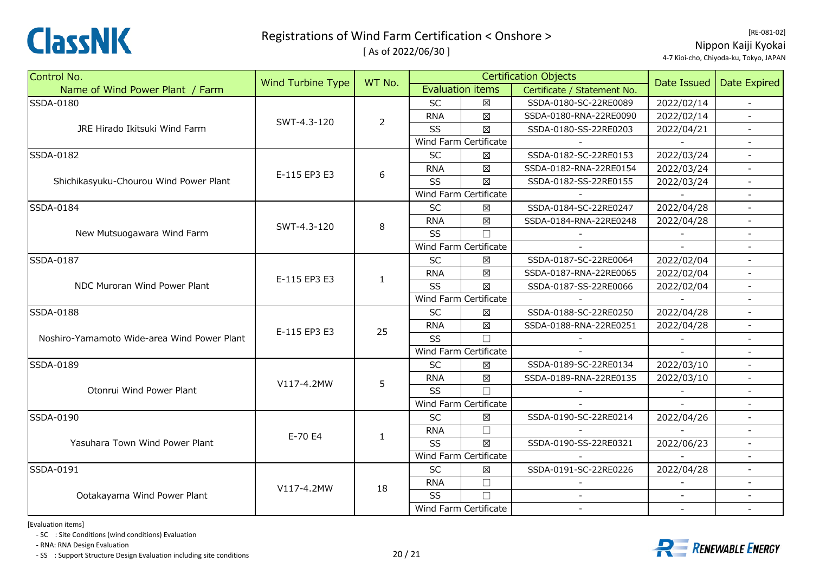

[ As of 2022/06/30 ]

[RE‐081‐02] Nippon Kaiji Kyokai 4‐7 Kioi‐cho, Chiyoda‐ku, Tokyo, JAPAN

| Control No.                                 | <b>Wind Turbine Type</b> | WT No.         |            |                         | <b>Certification Objects</b> | Date Issued              | Date Expired             |
|---------------------------------------------|--------------------------|----------------|------------|-------------------------|------------------------------|--------------------------|--------------------------|
| Name of Wind Power Plant / Farm             |                          |                |            | <b>Evaluation items</b> | Certificate / Statement No.  |                          |                          |
| SSDA-0180                                   |                          |                | <b>SC</b>  | X                       | SSDA-0180-SC-22RE0089        | 2022/02/14               | $\sim$                   |
|                                             | SWT-4.3-120              | $\overline{2}$ | <b>RNA</b> | $\boxtimes$             | SSDA-0180-RNA-22RE0090       | 2022/02/14               |                          |
| JRE Hirado Ikitsuki Wind Farm               |                          |                | SS         | $\boxtimes$             | SSDA-0180-SS-22RE0203        | 2022/04/21               |                          |
|                                             |                          |                |            | Wind Farm Certificate   |                              |                          |                          |
| SSDA-0182                                   |                          |                | <b>SC</b>  | $\boxtimes$             | SSDA-0182-SC-22RE0153        | 2022/03/24               | $\blacksquare$           |
|                                             | E-115 EP3 E3             | 6              | <b>RNA</b> | $\boxtimes$             | SSDA-0182-RNA-22RE0154       | 2022/03/24               | $\omega$                 |
| Shichikasyuku-Chourou Wind Power Plant      |                          |                | SS         | $\boxtimes$             | SSDA-0182-SS-22RE0155        | 2022/03/24               |                          |
|                                             |                          |                |            | Wind Farm Certificate   |                              |                          |                          |
| SSDA-0184                                   |                          |                | <b>SC</b>  | ⊠                       | SSDA-0184-SC-22RE0247        | 2022/04/28               | $\blacksquare$           |
|                                             | SWT-4.3-120              | 8              | <b>RNA</b> | $\boxtimes$             | SSDA-0184-RNA-22RE0248       | 2022/04/28               |                          |
| New Mutsuogawara Wind Farm                  |                          |                | SS         |                         |                              |                          |                          |
|                                             |                          |                |            | Wind Farm Certificate   |                              |                          |                          |
| SSDA-0187                                   | E-115 EP3 E3             |                | <b>SC</b>  | X                       | SSDA-0187-SC-22RE0064        | 2022/02/04               | $\blacksquare$           |
|                                             |                          | $\mathbf{1}$   | <b>RNA</b> | $\boxtimes$             | SSDA-0187-RNA-22RE0065       | 2022/02/04               |                          |
| NDC Muroran Wind Power Plant                |                          |                | SS         | $\boxtimes$             | SSDA-0187-SS-22RE0066        | 2022/02/04               | $\overline{\phantom{a}}$ |
|                                             |                          |                |            | Wind Farm Certificate   |                              |                          | $\blacksquare$           |
| <b>SSDA-0188</b>                            |                          |                | <b>SC</b>  | $\boxtimes$             | SSDA-0188-SC-22RE0250        | 2022/04/28               | $\overline{a}$           |
|                                             | E-115 EP3 E3             | 25             | <b>RNA</b> | $\boxtimes$             | SSDA-0188-RNA-22RE0251       | 2022/04/28               | $\overline{\phantom{a}}$ |
| Noshiro-Yamamoto Wide-area Wind Power Plant |                          |                | SS         |                         |                              |                          |                          |
|                                             |                          |                |            | Wind Farm Certificate   |                              |                          |                          |
| SSDA-0189                                   |                          |                | <b>SC</b>  | $\boxtimes$             | SSDA-0189-SC-22RE0134        | 2022/03/10               | $\equiv$                 |
|                                             | V117-4.2MW               | 5              | <b>RNA</b> | $\boxtimes$             | SSDA-0189-RNA-22RE0135       | 2022/03/10               |                          |
| Otonrui Wind Power Plant                    |                          |                | SS         | $\Box$                  |                              |                          |                          |
|                                             |                          |                |            | Wind Farm Certificate   |                              |                          |                          |
| SSDA-0190                                   |                          |                | <b>SC</b>  | X                       | SSDA-0190-SC-22RE0214        | 2022/04/26               | $\overline{\phantom{a}}$ |
|                                             | E-70 E4                  | $\mathbf{1}$   | <b>RNA</b> | $\Box$                  |                              |                          | $\blacksquare$           |
| Yasuhara Town Wind Power Plant              |                          |                | SS         | $\boxtimes$             | SSDA-0190-SS-22RE0321        | 2022/06/23               | $\blacksquare$           |
|                                             |                          |                |            | Wind Farm Certificate   |                              |                          |                          |
| SSDA-0191                                   |                          |                | <b>SC</b>  | $\boxtimes$             | SSDA-0191-SC-22RE0226        | 2022/04/28               |                          |
|                                             | V117-4.2MW               | 18             | <b>RNA</b> | $\Box$                  |                              |                          |                          |
| Ootakayama Wind Power Plant                 |                          |                | SS         | $\Box$                  |                              | $\overline{\phantom{a}}$ | $\overline{\phantom{a}}$ |
|                                             |                          |                |            | Wind Farm Certificate   | $\sim$                       |                          | $\blacksquare$           |

[Evaluation items]

‐ SC : Site Conditions (wind conditions) Evaluation

‐ RNA: RNA Design Evaluation

‐ SS : Support Structure Design Evaluation including site conditions 20 / 21